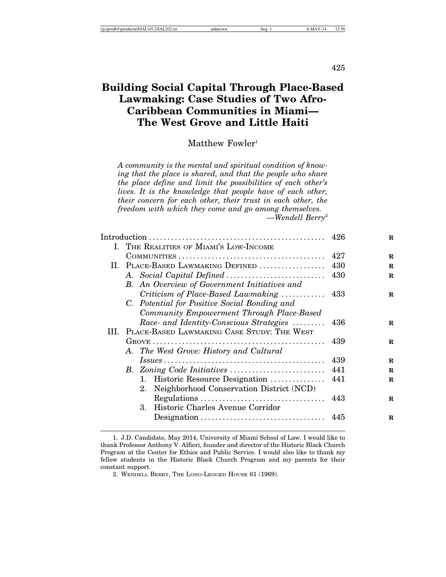425

# **Building Social Capital Through Place-Based Lawmaking: Case Studies of Two Afro-Caribbean Communities in Miami— The West Grove and Little Haiti**

### Matthew Fowler<sup>1</sup>

*A community is the mental and spiritual condition of knowing that the place is shared, and that the people who share the place define and limit the possibilities of each other's lives. It is the knowledge that people have of each other, their concern for each other, their trust in each other, the freedom with which they come and go among themselves.* —*Wendell Berry*<sup>2</sup>

|    |                                                                                              |     | $\mathbf R$ |
|----|----------------------------------------------------------------------------------------------|-----|-------------|
|    | I. THE REALITIES OF MIAMI'S LOW-INCOME                                                       |     |             |
|    | $\text{CommunITIES} \dots \dots \dots \dots \dots \dots \dots \dots \dots \dots \dots \dots$ | 427 | R           |
| Н. | PLACE-BASED LAWMAKING DEFINED                                                                | 430 | R           |
|    |                                                                                              | 430 | R           |
|    | B. An Overview of Government Initiatives and                                                 |     |             |
|    | Criticism of Place-Based Lawmaking  433                                                      |     | $\mathbf R$ |
|    | C. Potential for Positive Social Bonding and                                                 |     |             |
|    | Community Empowerment Through Place-Based                                                    |     |             |
|    | Race and Identity-Conscious Strategies  436                                                  |     | R           |
| Ш. | PLACE-BASED LAWMAKING CASE STUDY: THE WEST                                                   |     |             |
|    |                                                                                              | 439 | R           |
|    | A. The West Grove: History and Cultural                                                      |     |             |
|    |                                                                                              | 439 | $\mathbf R$ |
|    |                                                                                              | 441 | R           |
|    |                                                                                              |     | $\mathbf R$ |
|    | Neighborhood Conservation District (NCD)<br>2.                                               |     |             |
|    |                                                                                              |     | R           |
|    | 3. Historic Charles Avenue Corridor                                                          |     |             |
|    |                                                                                              |     | R           |
|    |                                                                                              |     |             |

<sup>1.</sup> J.D. Candidate, May 2014, University of Miami School of Law. I would like to thank Professor Anthony V. Alfieri, founder and director of the Historic Black Church Program at the Center for Ethics and Public Service. I would also like to thank my fellow students in the Historic Black Church Program and my parents for their constant support.

<sup>2.</sup> WENDELL BERRY, THE LONG-LEGGED HOUSE 61 (1969).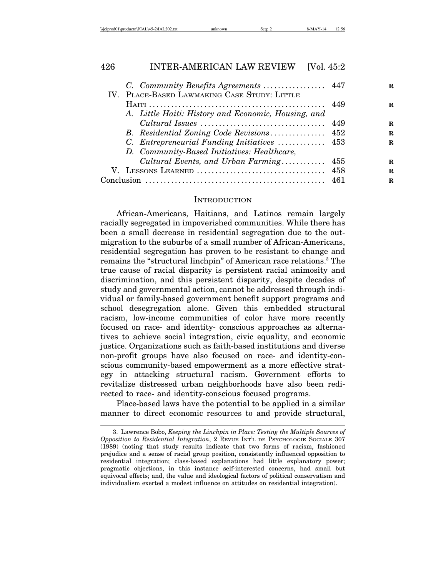|  | \\iciprod01\productn\I\IAL\45-2\IAL202.txt | unknown | sea. | NЛ | $\sim$<br>. 2:56 |
|--|--------------------------------------------|---------|------|----|------------------|
|--|--------------------------------------------|---------|------|----|------------------|

|                                                     |      | R. |
|-----------------------------------------------------|------|----|
| IV. PLACE-BASED LAWMAKING CASE STUDY: LITTLE        |      |    |
|                                                     |      | R  |
| A. Little Haiti: History and Economic, Housing, and |      |    |
|                                                     |      | R. |
| B. Residential Zoning Code Revisions 452            |      | R. |
| C. Entrepreneurial Funding Initiatives  453         |      | R. |
| D. Community-Based Initiatives: Healthcare,         |      |    |
| Cultural Events, and Urban Farming                  | 455  | R. |
|                                                     |      | R. |
|                                                     | -461 | R. |
|                                                     |      |    |

#### INTRODUCTION

African-Americans, Haitians, and Latinos remain largely racially segregated in impoverished communities. While there has been a small decrease in residential segregation due to the outmigration to the suburbs of a small number of African-Americans, residential segregation has proven to be resistant to change and remains the "structural linchpin" of American race relations.<sup>3</sup> The true cause of racial disparity is persistent racial animosity and discrimination, and this persistent disparity, despite decades of study and governmental action, cannot be addressed through individual or family-based government benefit support programs and school desegregation alone. Given this embedded structural racism, low-income communities of color have more recently focused on race- and identity- conscious approaches as alternatives to achieve social integration, civic equality, and economic justice. Organizations such as faith-based institutions and diverse non-profit groups have also focused on race- and identity-conscious community-based empowerment as a more effective strategy in attacking structural racism. Government efforts to revitalize distressed urban neighborhoods have also been redirected to race- and identity-conscious focused programs.

Place-based laws have the potential to be applied in a similar manner to direct economic resources to and provide structural,

<sup>3.</sup> Lawrence Bobo, *Keeping the Linchpin in Place: Testing the Multiple Sources of Opposition to Residential Integration*, 2 REVUE INT'L DE PSYCHOLOGIE SOCIALE 307 (1989) (noting that study results indicate that two forms of racism, fashioned prejudice and a sense of racial group position, consistently influenced opposition to residential integration; class-based explanations had little explanatory power; pragmatic objections, in this instance self-interested concerns, had small but equivocal effects; and, the value and ideological factors of political conservatism and individualism exerted a modest influence on attitudes on residential integration).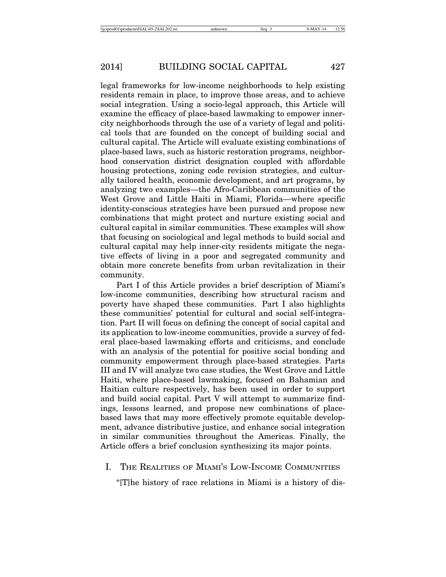legal frameworks for low-income neighborhoods to help existing residents remain in place, to improve those areas, and to achieve social integration. Using a socio-legal approach, this Article will examine the efficacy of place-based lawmaking to empower innercity neighborhoods through the use of a variety of legal and political tools that are founded on the concept of building social and cultural capital. The Article will evaluate existing combinations of place-based laws, such as historic restoration programs, neighborhood conservation district designation coupled with affordable housing protections, zoning code revision strategies, and culturally tailored health, economic development, and art programs, by analyzing two examples—the Afro-Caribbean communities of the West Grove and Little Haiti in Miami, Florida—where specific identity-conscious strategies have been pursued and propose new combinations that might protect and nurture existing social and cultural capital in similar communities. These examples will show that focusing on sociological and legal methods to build social and cultural capital may help inner-city residents mitigate the negative effects of living in a poor and segregated community and obtain more concrete benefits from urban revitalization in their community.

Part I of this Article provides a brief description of Miami's low-income communities, describing how structural racism and poverty have shaped these communities. Part I also highlights these communities' potential for cultural and social self-integration. Part II will focus on defining the concept of social capital and its application to low-income communities, provide a survey of federal place-based lawmaking efforts and criticisms, and conclude with an analysis of the potential for positive social bonding and community empowerment through place-based strategies. Parts III and IV will analyze two case studies, the West Grove and Little Haiti, where place-based lawmaking, focused on Bahamian and Haitian culture respectively, has been used in order to support and build social capital. Part V will attempt to summarize findings, lessons learned, and propose new combinations of placebased laws that may more effectively promote equitable development, advance distributive justice, and enhance social integration in similar communities throughout the Americas. Finally, the Article offers a brief conclusion synthesizing its major points.

### I. THE REALITIES OF MIAMI'S LOW-INCOME COMMUNITIES

"[T]he history of race relations in Miami is a history of dis-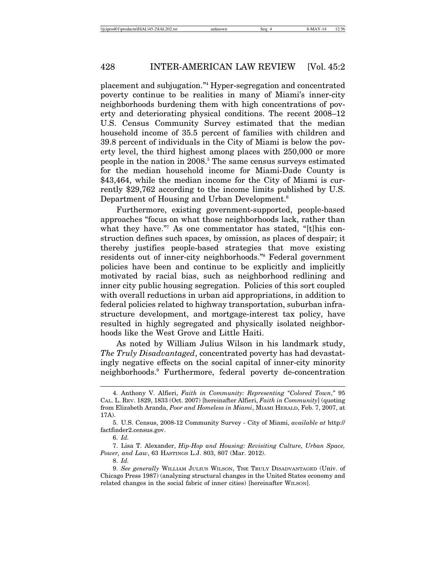placement and subjugation."4 Hyper-segregation and concentrated poverty continue to be realities in many of Miami's inner-city neighborhoods burdening them with high concentrations of poverty and deteriorating physical conditions. The recent 2008–12 U.S. Census Community Survey estimated that the median household income of 35.5 percent of families with children and 39.8 percent of individuals in the City of Miami is below the poverty level, the third highest among places with 250,000 or more people in the nation in 2008.<sup>5</sup> The same census surveys estimated for the median household income for Miami-Dade County is \$43,464, while the median income for the City of Miami is currently \$29,762 according to the income limits published by U.S. Department of Housing and Urban Development.6

Furthermore, existing government-supported, people-based approaches "focus on what those neighborhoods lack, rather than what they have."7 As one commentator has stated, "[t]his construction defines such spaces, by omission, as places of despair; it thereby justifies people-based strategies that move existing residents out of inner-city neighborhoods."8 Federal government policies have been and continue to be explicitly and implicitly motivated by racial bias, such as neighborhood redlining and inner city public housing segregation. Policies of this sort coupled with overall reductions in urban aid appropriations, in addition to federal policies related to highway transportation, suburban infrastructure development, and mortgage-interest tax policy, have resulted in highly segregated and physically isolated neighborhoods like the West Grove and Little Haiti.

As noted by William Julius Wilson in his landmark study, *The Truly Disadvantaged*, concentrated poverty has had devastatingly negative effects on the social capital of inner-city minority neighborhoods.9 Furthermore, federal poverty de-concentration

<sup>4.</sup> Anthony V. Alfieri, *Faith in Community: Representing "Colored Town*,*"* 95 CAL. L. REV. 1829, 1833 (Oct. 2007) [hereinafter Alfieri, *Faith in Community*] (quoting from Elizabeth Aranda, *Poor and Homeless in Miami*, MIAMI HERALD, Feb. 7, 2007, at 17A).

<sup>5.</sup> U.S. Census, 2008-12 Community Survey - City of Miami, *available at* http:// factfinder2.census.gov.

<sup>6.</sup> *Id.*

<sup>7.</sup> Lisa T. Alexander, *Hip-Hop and Housing: Revisiting Culture, Urban Space, Power, and Law*, 63 HASTINGS L.J. 803, 807 (Mar. 2012).

<sup>8.</sup> *Id.*

<sup>9.</sup> *See generally* WILLIAM JULIUS WILSON, THE TRULY DISADVANTAGED (Univ. of Chicago Press 1987) (analyzing structural changes in the United States economy and related changes in the social fabric of inner cities) [hereinafter WILSON].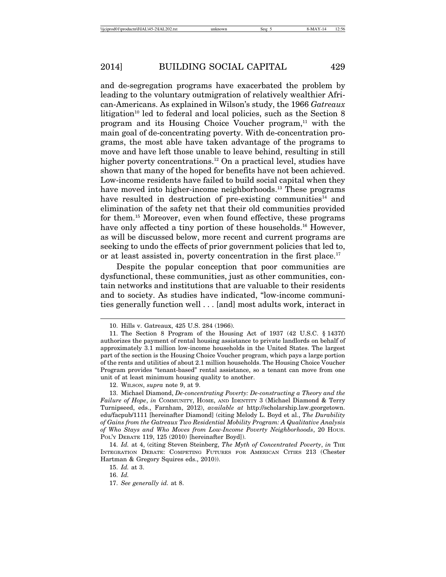and de-segregation programs have exacerbated the problem by leading to the voluntary outmigration of relatively wealthier African-Americans. As explained in Wilson's study, the 1966 *Gatreaux* litigation<sup>10</sup> led to federal and local policies, such as the Section  $8$ program and its Housing Choice Voucher program,<sup>11</sup> with the main goal of de-concentrating poverty. With de-concentration programs, the most able have taken advantage of the programs to move and have left those unable to leave behind, resulting in still higher poverty concentrations.<sup>12</sup> On a practical level, studies have shown that many of the hoped for benefits have not been achieved. Low-income residents have failed to build social capital when they have moved into higher-income neighborhoods.<sup>13</sup> These programs have resulted in destruction of pre-existing communities<sup>14</sup> and elimination of the safety net that their old communities provided for them.15 Moreover, even when found effective, these programs have only affected a tiny portion of these households.<sup>16</sup> However, as will be discussed below, more recent and current programs are seeking to undo the effects of prior government policies that led to, or at least assisted in, poverty concentration in the first place.<sup>17</sup>

Despite the popular conception that poor communities are dysfunctional, these communities, just as other communities, contain networks and institutions that are valuable to their residents and to society. As studies have indicated, "low-income communities generally function well . . . [and] most adults work, interact in

<sup>10.</sup> Hills v. Gatreaux, 425 U.S. 284 (1966).

<sup>11.</sup> The Section 8 Program of the Housing Act of 1937 (42 U.S.C. § 1437f) authorizes the payment of rental housing assistance to private landlords on behalf of approximately 3.1 million low-income households in the United States. The largest part of the section is the Housing Choice Voucher program, which pays a large portion of the rents and utilities of about 2.1 million households. The Housing Choice Voucher Program provides "tenant-based" rental assistance, so a tenant can move from one unit of at least minimum housing quality to another.

<sup>12.</sup> WILSON, *supra* note 9, at 9.

<sup>13.</sup> Michael Diamond, *De-concentrating Poverty: De-constructing a Theory and the Failure of Hope*, *in* COMMUNITY, HOME, AND IDENTITY 3 (Michael Diamond & Terry Turnipseed, eds., Farnham, 2012), *available at* http://scholarship.law.georgetown. edu/facpub/1111 [hereinafter Diamond] (citing Melody L. Boyd et al., *The Durability of Gains from the Gatreaux Two Residential Mobility Program: A Qualitative Analysis of Who Stays and Who Moves from Low-Income Poverty Neighborhoods*, 20 HOUS. POL'Y DEBATE 119, 125 (2010) [hereinafter Boyd]).

<sup>14.</sup> *Id.* at 4, (citing Steven Steinberg, *The Myth of Concentrated Poverty*, *in* THE INTEGRATION DEBATE: COMPETING FUTURES FOR AMERICAN CITIES 213 (Chester Hartman & Gregory Squires eds., 2010)).

<sup>15.</sup> *Id.* at 3.

<sup>16.</sup> *Id.*

<sup>17.</sup> *See generally id.* at 8.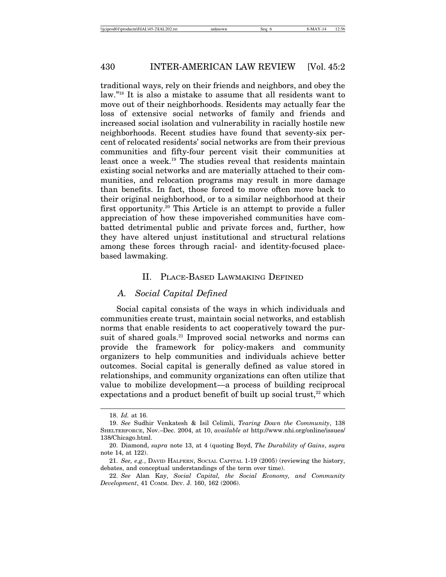traditional ways, rely on their friends and neighbors, and obey the law."18 It is also a mistake to assume that all residents want to move out of their neighborhoods. Residents may actually fear the loss of extensive social networks of family and friends and increased social isolation and vulnerability in racially hostile new neighborhoods. Recent studies have found that seventy-six percent of relocated residents' social networks are from their previous communities and fifty-four percent visit their communities at least once a week.<sup>19</sup> The studies reveal that residents maintain existing social networks and are materially attached to their communities, and relocation programs may result in more damage than benefits. In fact, those forced to move often move back to their original neighborhood, or to a similar neighborhood at their first opportunity.20 This Article is an attempt to provide a fuller appreciation of how these impoverished communities have combatted detrimental public and private forces and, further, how they have altered unjust institutional and structural relations among these forces through racial- and identity-focused placebased lawmaking.

#### II. PLACE-BASED LAWMAKING DEFINED

### *A. Social Capital Defined*

Social capital consists of the ways in which individuals and communities create trust, maintain social networks, and establish norms that enable residents to act cooperatively toward the pursuit of shared goals.<sup>21</sup> Improved social networks and norms can provide the framework for policy-makers and community organizers to help communities and individuals achieve better outcomes. Social capital is generally defined as value stored in relationships, and community organizations can often utilize that value to mobilize development—a process of building reciprocal expectations and a product benefit of built up social trust, $22$  which

<sup>18.</sup> *Id.* at 16.

<sup>19.</sup> *See* Sudhir Venkatesh & Isil Celimli, *Tearing Down the Community*, 138 SHELTERFORCE, Nov.–Dec. 2004, at 10, *available at* http://www.nhi.org/online/issues/ 138/Chicago.html.

<sup>20.</sup> Diamond, *supra* note 13, at 4 (quoting Boyd, *The Durability of Gains*, *supra* note 14, at 122).

<sup>21.</sup> *See, e.g.*, DAVID HALPERN, SOCIAL CAPITAL 1-19 (2005) (reviewing the history, debates, and conceptual understandings of the term over time).

<sup>22.</sup> *See* Alan Kay, *Social Capital, the Social Economy, and Community Development*, 41 COMM. DEV. J. 160, 162 (2006).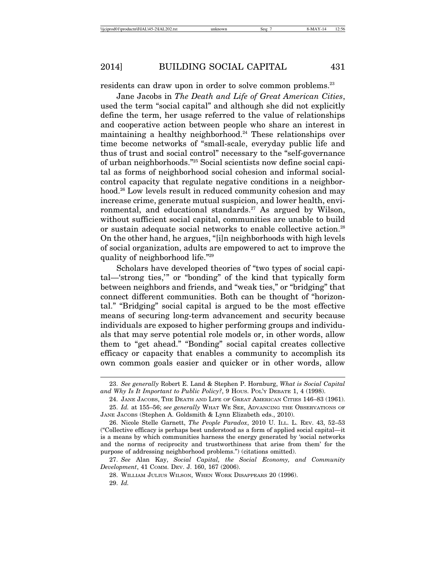residents can draw upon in order to solve common problems.<sup>23</sup>

Jane Jacobs in *The Death and Life of Great American Cities*, used the term "social capital" and although she did not explicitly define the term, her usage referred to the value of relationships and cooperative action between people who share an interest in maintaining a healthy neighborhood.<sup>24</sup> These relationships over time become networks of "small-scale, everyday public life and thus of trust and social control" necessary to the "self-governance of urban neighborhoods."25 Social scientists now define social capital as forms of neighborhood social cohesion and informal socialcontrol capacity that regulate negative conditions in a neighborhood.<sup>26</sup> Low levels result in reduced community cohesion and may increase crime, generate mutual suspicion, and lower health, environmental, and educational standards.<sup>27</sup> As argued by Wilson, without sufficient social capital, communities are unable to build or sustain adequate social networks to enable collective action.<sup>28</sup> On the other hand, he argues, "[i]n neighborhoods with high levels of social organization, adults are empowered to act to improve the quality of neighborhood life."29

Scholars have developed theories of "two types of social capital—'strong ties,'" or "bonding" of the kind that typically form between neighbors and friends, and "weak ties," or "bridging" that connect different communities. Both can be thought of "horizontal." "Bridging" social capital is argued to be the most effective means of securing long-term advancement and security because individuals are exposed to higher performing groups and individuals that may serve potential role models or, in other words, allow them to "get ahead." "Bonding" social capital creates collective efficacy or capacity that enables a community to accomplish its own common goals easier and quicker or in other words, allow

<sup>23.</sup> *See generally* Robert E. Land & Stephen P. Hornburg, *What is Social Capital* and Why Is It Important to Public Policy?, 9 Hous. Poly DEBATE 1, 4 (1998).

<sup>24.</sup> JANE JACOBS, THE DEATH AND LIFE OF GREAT AMERICAN CITIES 146–83 (1961).

<sup>25.</sup> *Id.* at 155–56; *see generally* WHAT WE SEE, ADVANCING THE OBSERVATIONS OF JANE JACOBS (Stephen A. Goldsmith & Lynn Elizabeth eds., 2010).

<sup>26.</sup> Nicole Stelle Garnett, *The People Paradox*, 2010 U. ILL. L. REV. 43, 52–53 ("Collective efficacy is perhaps best understood as a form of applied social capital—it is a means by which communities harness the energy generated by 'social networks and the norms of reciprocity and trustworthiness that arise from them' for the purpose of addressing neighborhood problems.") (citations omitted).

<sup>27.</sup> *See* Alan Kay, *Social Capital, the Social Economy, and Community Development*, 41 COMM. DEV. J. 160, 167 (2006).

<sup>28.</sup> WILLIAM JULIUS WILSON, WHEN WORK DISAPPEARS 20 (1996).

<sup>29.</sup> *Id.*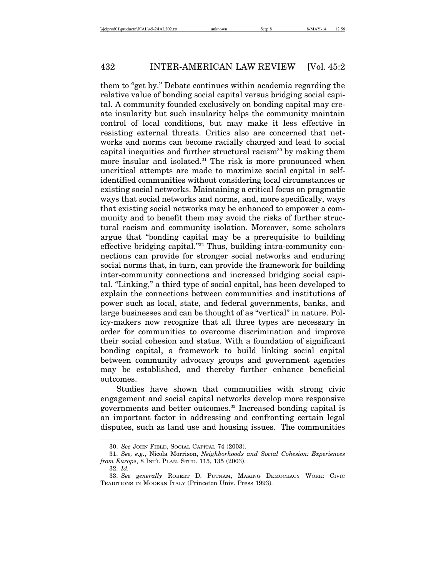them to "get by." Debate continues within academia regarding the relative value of bonding social capital versus bridging social capital. A community founded exclusively on bonding capital may create insularity but such insularity helps the community maintain control of local conditions, but may make it less effective in resisting external threats. Critics also are concerned that networks and norms can become racially charged and lead to social capital inequities and further structural racism<sup>30</sup> by making them more insular and isolated.<sup>31</sup> The risk is more pronounced when uncritical attempts are made to maximize social capital in selfidentified communities without considering local circumstances or existing social networks. Maintaining a critical focus on pragmatic ways that social networks and norms, and, more specifically, ways that existing social networks may be enhanced to empower a community and to benefit them may avoid the risks of further structural racism and community isolation. Moreover, some scholars argue that "bonding capital may be a prerequisite to building effective bridging capital."32 Thus, building intra-community connections can provide for stronger social networks and enduring social norms that, in turn, can provide the framework for building inter-community connections and increased bridging social capital. "Linking," a third type of social capital, has been developed to explain the connections between communities and institutions of power such as local, state, and federal governments, banks, and large businesses and can be thought of as "vertical" in nature. Policy-makers now recognize that all three types are necessary in order for communities to overcome discrimination and improve their social cohesion and status. With a foundation of significant bonding capital, a framework to build linking social capital between community advocacy groups and government agencies may be established, and thereby further enhance beneficial outcomes.

Studies have shown that communities with strong civic engagement and social capital networks develop more responsive governments and better outcomes.33 Increased bonding capital is an important factor in addressing and confronting certain legal disputes, such as land use and housing issues. The communities

32. *Id.*

<sup>30.</sup> *See* JOHN FIELD, SOCIAL CAPITAL 74 (2003).

<sup>31.</sup> *See, e.g.*, Nicola Morrison, *Neighborhoods and Social Cohesion: Experiences from Europe*, 8 INT'L PLAN. STUD. 115, 135 (2003).

<sup>33.</sup> *See generally* ROBERT D. PUTNAM, MAKING DEMOCRACY WORK: CIVIC TRADITIONS IN MODERN ITALY (Princeton Univ. Press 1993).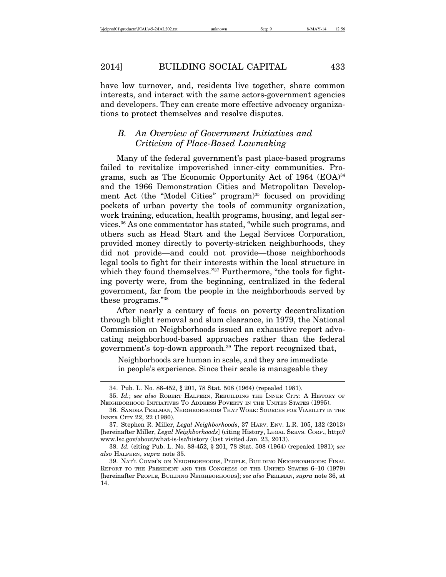have low turnover, and, residents live together, share common interests, and interact with the same actors-government agencies and developers. They can create more effective advocacy organizations to protect themselves and resolve disputes.

# *B. An Overview of Government Initiatives and Criticism of Place-Based Lawmaking*

Many of the federal government's past place-based programs failed to revitalize impoverished inner-city communities. Programs, such as The Economic Opportunity Act of 1964  $(EOA)^{34}$ and the 1966 Demonstration Cities and Metropolitan Development Act (the "Model Cities" program)<sup>35</sup> focused on providing pockets of urban poverty the tools of community organization, work training, education, health programs, housing, and legal services.36 As one commentator has stated, "while such programs, and others such as Head Start and the Legal Services Corporation, provided money directly to poverty-stricken neighborhoods, they did not provide—and could not provide—those neighborhoods legal tools to fight for their interests within the local structure in which they found themselves."<sup>37</sup> Furthermore, "the tools for fighting poverty were, from the beginning, centralized in the federal government, far from the people in the neighborhoods served by these programs."38

After nearly a century of focus on poverty decentralization through blight removal and slum clearance, in 1979, the National Commission on Neighborhoods issued an exhaustive report advocating neighborhood-based approaches rather than the federal government's top-down approach.<sup>39</sup> The report recognized that,

Neighborhoods are human in scale, and they are immediate in people's experience. Since their scale is manageable they

<sup>34.</sup> Pub. L. No. 88-452, § 201, 78 Stat. 508 (1964) (repealed 1981).

<sup>35.</sup> *Id.*; *see also* ROBERT HALPERN, REBUILDING THE INNER CITY: A HISTORY OF NEIGHBORHOOD INITIATIVES TO ADDRESS POVERTY IN THE UNITES STATES (1995).

<sup>36.</sup> SANDRA PERLMAN, NEIGHBORHOODS THAT WORK: SOURCES FOR VIABILITY IN THE INNER CITY 22, 22 (1980).

<sup>37.</sup> Stephen R. Miller, *Legal Neighborhoods*, 37 HARV. ENV. L.R. 105, 132 (2013) [hereinafter Miller, *Legal Neighborhoods*] (citing History, LEGAL SERVS. CORP., http:// www.lsc.gov/about/what-is-lsc/history (last visited Jan. 23, 2013).

<sup>38.</sup> *Id.* (citing Pub. L. No. 88-452, § 201, 78 Stat. 508 (1964) (repealed 1981); *see also* HALPERN, *supra* note 35.

<sup>39.</sup> NAT'L COMM'N ON NEIGHBORHOODS, PEOPLE, BUILDING NEIGHBORHOODS: FINAL REPORT TO THE PRESIDENT AND THE CONGRESS OF THE UNITED STATES 6–10 (1979) [hereinafter PEOPLE, BUILDING NEIGHBORHOODS]; *see also* PERLMAN, *supra* note 36, at 14.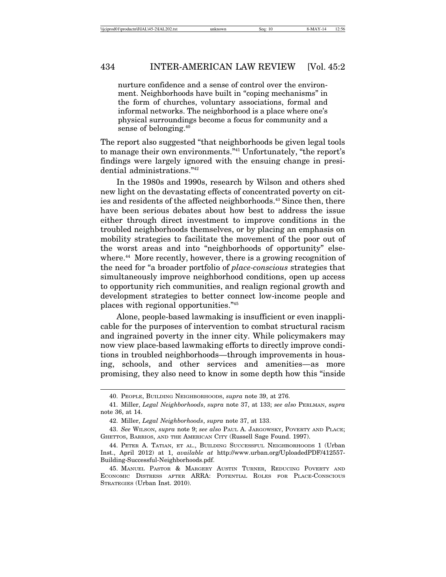nurture confidence and a sense of control over the environment. Neighborhoods have built in "coping mechanisms" in the form of churches, voluntary associations, formal and informal networks. The neighborhood is a place where one's physical surroundings become a focus for community and a sense of belonging.<sup>40</sup>

The report also suggested "that neighborhoods be given legal tools to manage their own environments."41 Unfortunately, "the report's findings were largely ignored with the ensuing change in presidential administrations."42

In the 1980s and 1990s, research by Wilson and others shed new light on the devastating effects of concentrated poverty on cities and residents of the affected neighborhoods.<sup>43</sup> Since then, there have been serious debates about how best to address the issue either through direct investment to improve conditions in the troubled neighborhoods themselves, or by placing an emphasis on mobility strategies to facilitate the movement of the poor out of the worst areas and into "neighborhoods of opportunity" elsewhere.<sup>44</sup> More recently, however, there is a growing recognition of the need for "a broader portfolio of *place-conscious* strategies that simultaneously improve neighborhood conditions, open up access to opportunity rich communities, and realign regional growth and development strategies to better connect low-income people and places with regional opportunities."45

Alone, people-based lawmaking is insufficient or even inapplicable for the purposes of intervention to combat structural racism and ingrained poverty in the inner city. While policymakers may now view place-based lawmaking efforts to directly improve conditions in troubled neighborhoods—through improvements in housing, schools, and other services and amenities—as more promising, they also need to know in some depth how this "inside

<sup>40.</sup> PEOPLE, BUILDING NEIGHBORHOODS, *supra* note 39, at 276.

<sup>41.</sup> Miller, *Legal Neighborhoods*, *supra* note 37, at 133; *see also* PERLMAN, *supra* note 36, at 14.

<sup>42.</sup> Miller, *Legal Neighborhoods*, *supra* note 37, at 133.

<sup>43.</sup> *See* WILSON, *supra* note 9; *see also* PAUL A. JARGOWSKY, POVERTY AND PLACE; GHETTOS, BARRIOS, AND THE AMERICAN CITY (Russell Sage Found. 1997).

<sup>44.</sup> PETER A. TATIAN, ET AL., BUILDING SUCCESSFUL NEIGHBORHOODS 1 (Urban Inst., April 2012) at 1, *available at* http://www.urban.org/UploadedPDF/412557- Building-Successful-Neighborhoods.pdf.

<sup>45.</sup> MANUEL PASTOR & MARGERY AUSTIN TURNER, REDUCING POVERTY AND ECONOMIC DISTRESS AFTER ARRA: POTENTIAL ROLES FOR PLACE-CONSCIOUS STRATEGIES (Urban Inst. 2010).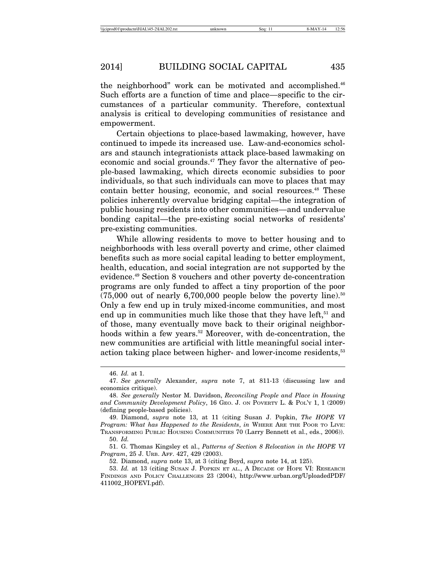the neighborhood" work can be motivated and accomplished. $46$ Such efforts are a function of time and place—specific to the circumstances of a particular community. Therefore, contextual analysis is critical to developing communities of resistance and empowerment.

Certain objections to place-based lawmaking, however, have continued to impede its increased use. Law-and-economics scholars and staunch integrationists attack place-based lawmaking on economic and social grounds.<sup>47</sup> They favor the alternative of people-based lawmaking, which directs economic subsidies to poor individuals, so that such individuals can move to places that may contain better housing, economic, and social resources.<sup>48</sup> These policies inherently overvalue bridging capital—the integration of public housing residents into other communities—and undervalue bonding capital—the pre-existing social networks of residents' pre-existing communities.

While allowing residents to move to better housing and to neighborhoods with less overall poverty and crime, other claimed benefits such as more social capital leading to better employment, health, education, and social integration are not supported by the evidence.49 Section 8 vouchers and other poverty de-concentration programs are only funded to affect a tiny proportion of the poor  $(75,000$  out of nearly 6,700,000 people below the poverty line).<sup>50</sup> Only a few end up in truly mixed-income communities, and most end up in communities much like those that they have left, $51$  and of those, many eventually move back to their original neighborhoods within a few years.<sup>52</sup> Moreover, with de-concentration, the new communities are artificial with little meaningful social interaction taking place between higher- and lower-income residents,<sup>53</sup>

<sup>46.</sup> *Id.* at 1.

<sup>47.</sup> *See generally* Alexander, *supra* note 7, at 811-13 (discussing law and economics critique).

<sup>48.</sup> *See generally* Nestor M. Davidson, *Reconciling People and Place in Housing and Community Development Policy*, 16 GEO. J. ON POVERTY L. & POL'Y 1, 1 (2009) (defining people-based policies).

<sup>49.</sup> Diamond, *supra* note 13, at 11 (citing Susan J. Popkin, *The HOPE VI Program: What has Happened to the Residents*, *in* WHERE ARE THE POOR TO LIVE: TRANSFORMING PUBLIC HOUSING COMMUNITIES 70 (Larry Bennett et al., eds., 2006)). 50. *Id.*

<sup>51.</sup> G. Thomas Kingsley et al., *Patterns of Section 8 Relocation in the HOPE VI Program*, 25 J. URB. AFF. 427, 429 (2003).

<sup>52.</sup> Diamond, *supra* note 13, at 3 (citing Boyd, *supra* note 14, at 125).

<sup>53.</sup> *Id.* at 13 (citing SUSAN J. POPKIN ET AL., A DECADE OF HOPE VI: RESEARCH FINDINGS AND POLICY CHALLENGES 23 (2004), http://www.urban.org/UploadedPDF/ 411002\_HOPEVI.pdf).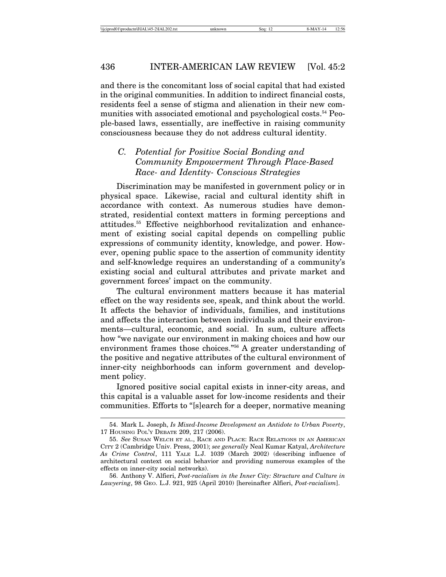and there is the concomitant loss of social capital that had existed in the original communities. In addition to indirect financial costs, residents feel a sense of stigma and alienation in their new communities with associated emotional and psychological costs.<sup>54</sup> People-based laws, essentially, are ineffective in raising community consciousness because they do not address cultural identity.

# *C. Potential for Positive Social Bonding and Community Empowerment Through Place-Based Race- and Identity- Conscious Strategies*

Discrimination may be manifested in government policy or in physical space. Likewise, racial and cultural identity shift in accordance with context. As numerous studies have demonstrated, residential context matters in forming perceptions and attitudes.55 Effective neighborhood revitalization and enhancement of existing social capital depends on compelling public expressions of community identity, knowledge, and power. However, opening public space to the assertion of community identity and self-knowledge requires an understanding of a community's existing social and cultural attributes and private market and government forces' impact on the community.

The cultural environment matters because it has material effect on the way residents see, speak, and think about the world. It affects the behavior of individuals, families, and institutions and affects the interaction between individuals and their environments—cultural, economic, and social. In sum, culture affects how "we navigate our environment in making choices and how our environment frames those choices."56 A greater understanding of the positive and negative attributes of the cultural environment of inner-city neighborhoods can inform government and development policy.

Ignored positive social capital exists in inner-city areas, and this capital is a valuable asset for low-income residents and their communities. Efforts to "[s]earch for a deeper, normative meaning

<sup>54.</sup> Mark L. Joseph, *Is Mixed-Income Development an Antidote to Urban Poverty*, 17 HOUSING POL'Y DEBATE 209, 217 (2006).

<sup>55.</sup> *See* SUSAN WELCH ET AL., RACE AND PLACE: RACE RELATIONS IN AN AMERICAN CITY 2 (Cambridge Univ. Press, 2001); *see generally* Neal Kumar Katyal, *Architecture As Crime Control*, 111 YALE L.J. 1039 (March 2002) (describing influence of architectural context on social behavior and providing numerous examples of the effects on inner-city social networks).

<sup>56.</sup> Anthony V. Alfieri, *Post-racialism in the Inner City: Structure and Culture in Lawyering*, 98 GEO. L.J. 921, 925 (April 2010) [hereinafter Alfieri, *Post-racialism*].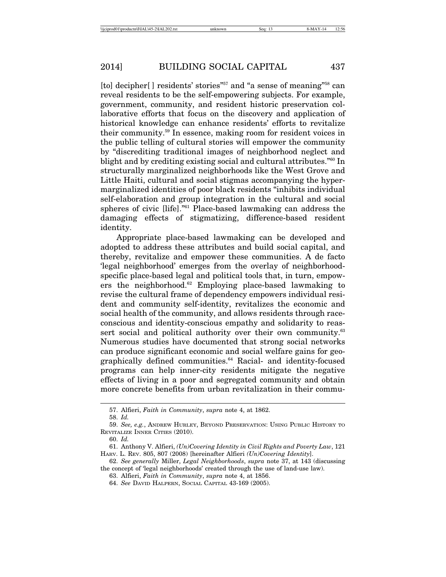[to] decipher[] residents' stories<sup>"57</sup> and "a sense of meaning"<sup>58</sup> can reveal residents to be the self-empowering subjects. For example, government, community, and resident historic preservation collaborative efforts that focus on the discovery and application of historical knowledge can enhance residents' efforts to revitalize their community.59 In essence, making room for resident voices in the public telling of cultural stories will empower the community by "discrediting traditional images of neighborhood neglect and blight and by crediting existing social and cultural attributes."60 In structurally marginalized neighborhoods like the West Grove and Little Haiti, cultural and social stigmas accompanying the hypermarginalized identities of poor black residents "inhibits individual self-elaboration and group integration in the cultural and social spheres of civic [life]."61 Place-based lawmaking can address the damaging effects of stigmatizing, difference-based resident identity.

Appropriate place-based lawmaking can be developed and adopted to address these attributes and build social capital, and thereby, revitalize and empower these communities. A de facto 'legal neighborhood' emerges from the overlay of neighborhoodspecific place-based legal and political tools that, in turn, empowers the neighborhood.62 Employing place-based lawmaking to revise the cultural frame of dependency empowers individual resident and community self-identity, revitalizes the economic and social health of the community, and allows residents through raceconscious and identity-conscious empathy and solidarity to reassert social and political authority over their own community.<sup>63</sup> Numerous studies have documented that strong social networks can produce significant economic and social welfare gains for geographically defined communities.<sup>64</sup> Racial- and identity-focused programs can help inner-city residents mitigate the negative effects of living in a poor and segregated community and obtain more concrete benefits from urban revitalization in their commu-

<sup>57.</sup> Alfieri, *Faith in Community*, *supra* note 4, at 1862.

<sup>58.</sup> *Id.*

<sup>59.</sup> *See, e.g.*, ANDREW HURLEY, BEYOND PRESERVATION: USING PUBLIC HISTORY TO REVITALIZE INNER CITIES (2010).

<sup>60.</sup> *Id.*

<sup>61.</sup> Anthony V. Alfieri, *(Un)Covering Identity in Civil Rights and Poverty Law*, 121 HARV. L. REV. 805, 807 (2008) [hereinafter Alfieri *(Un)Covering Identity*].

<sup>62.</sup> *See generally* Miller, *Legal Neighborhoods*, *supra* note 37, at 143 (discussing the concept of 'legal neighborhoods' created through the use of land-use law).

<sup>63.</sup> Alfieri, *Faith in Community*, *supra* note 4, at 1856.

<sup>64.</sup> *See* DAVID HALPERN, SOCIAL CAPITAL 43-169 (2005).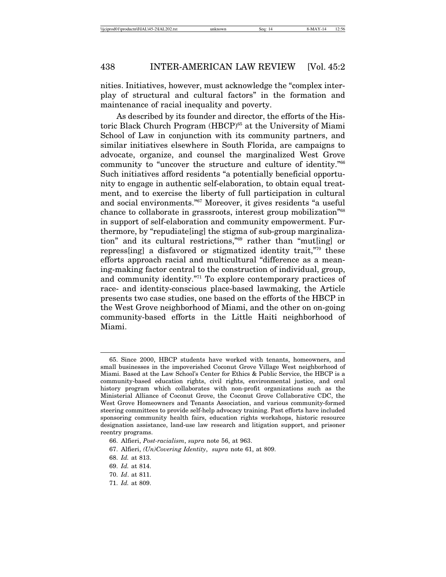nities. Initiatives, however, must acknowledge the "complex interplay of structural and cultural factors" in the formation and maintenance of racial inequality and poverty.

As described by its founder and director, the efforts of the Historic Black Church Program (HBCP)<sup>65</sup> at the University of Miami School of Law in conjunction with its community partners, and similar initiatives elsewhere in South Florida, are campaigns to advocate, organize, and counsel the marginalized West Grove community to "uncover the structure and culture of identity."66 Such initiatives afford residents "a potentially beneficial opportunity to engage in authentic self-elaboration, to obtain equal treatment, and to exercise the liberty of full participation in cultural and social environments."67 Moreover, it gives residents "a useful chance to collaborate in grassroots, interest group mobilization<sup>"68</sup> in support of self-elaboration and community empowerment. Furthermore, by "repudiate[ing] the stigma of sub-group marginalization" and its cultural restrictions,"69 rather than "mut[ing] or repress[ing] a disfavored or stigmatized identity trait,"70 these efforts approach racial and multicultural "difference as a meaning-making factor central to the construction of individual, group, and community identity."71 To explore contemporary practices of race- and identity-conscious place-based lawmaking, the Article presents two case studies, one based on the efforts of the HBCP in the West Grove neighborhood of Miami, and the other on on-going community-based efforts in the Little Haiti neighborhood of Miami.

<sup>65.</sup> Since 2000, HBCP students have worked with tenants, homeowners, and small businesses in the impoverished Coconut Grove Village West neighborhood of Miami. Based at the Law School's Center for Ethics & Public Service, the HBCP is a community-based education rights, civil rights, environmental justice, and oral history program which collaborates with non-profit organizations such as the Ministerial Alliance of Coconut Grove, the Coconut Grove Collaborative CDC, the West Grove Homeowners and Tenants Association, and various community-formed steering committees to provide self-help advocacy training. Past efforts have included sponsoring community health fairs, education rights workshops, historic resource designation assistance, land-use law research and litigation support, and prisoner reentry programs.

<sup>66.</sup> Alfieri, *Post-racialism*, *supra* note 56, at 963.

<sup>67.</sup> Alfieri, *(Un)Covering Identity*, *supra* note 61, at 809.

<sup>68.</sup> *Id.* at 813.

<sup>69.</sup> *Id.* at 814.

<sup>70.</sup> *Id*. at 811.

<sup>71.</sup> *Id.* at 809.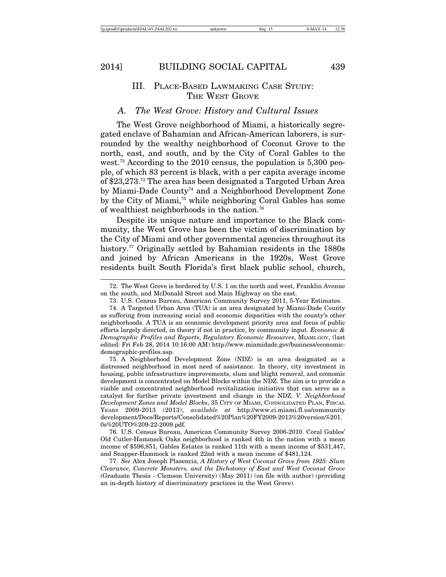#### III. PLACE-BASED LAWMAKING CASE STUDY: THE WEST GROVE

## *A. The West Grove: History and Cultural Issues*

The West Grove neighborhood of Miami, a historically segregated enclave of Bahamian and African-American laborers, is surrounded by the wealthy neighborhood of Coconut Grove to the north, east, and south, and by the City of Coral Gables to the west.<sup>72</sup> According to the 2010 census, the population is  $5,300$  people, of which 83 percent is black, with a per capita average income of \$23,273.73 The area has been designated a Targeted Urban Area by Miami-Dade County<sup>74</sup> and a Neighborhood Development Zone by the City of Miami,<sup>75</sup> while neighboring Coral Gables has some of wealthiest neighborhoods in the nation.76

Despite its unique nature and importance to the Black community, the West Grove has been the victim of discrimination by the City of Miami and other governmental agencies throughout its history.<sup>77</sup> Originally settled by Bahamian residents in the 1880s and joined by African Americans in the 1920s, West Grove residents built South Florida's first black public school, church,

75. A Neighborhood Development Zone (NDZ) is an area designated as a distressed neighborhood in most need of assistance. In theory, city investment in housing, public infrastructure improvements, slum and blight removal, and economic development is concentrated on Model Blocks within the NDZ. The aim is to provide a visible and concentrated neighborhood revitalization initiative that can serve as a catalyst for further private investment and change in the NDZ. *V. Neighborhood Development Zones and Model Blocks*, 35 CITY OF MIAMI, CONSOLIDATED PLAN, FISCAL YEARS 2009-2013 (2013), *available at* http://www.ci.miami.fl.us/community development/Docs/Reports/Consolidated%20Plan%20FY2009-2013%20version%201. 0s%20UTO%209-22-2009.pdf.

76. U.S. Census Bureau, American Community Survey 2006-2010. Coral Gables' Old Cutler-Hammock Oaks neighborhood is ranked 4th in the nation with a mean income of \$596,851, Gables Estates is ranked 11th with a mean income of \$531,447, and Snapper-Hammock is ranked 22nd with a mean income of \$481,124.

77. *See* Alex Joseph Plasencia, *A History of West Coconut Grove from 1925: Slum Clearance, Concrete Monsters, and the Dichotomy of East and West Coconut Grove* (Graduate Thesis - Clemson University) (May 2011) (on file with author) (providing an in-depth history of discriminatory practices in the West Grove).

<sup>72.</sup> The West Grove is bordered by U.S. 1 on the north and west, Franklin Avenue on the south, and McDonald Street and Main Highway on the east.

<sup>73.</sup> U.S. Census Bureau, American Community Survey 2011, 5-Year Estimates.

<sup>74.</sup> A Targeted Urban Area (TUA) is an area designated by Miami-Dade County as suffering from increasing social and economic disparities with the county's other neighborhoods. A TUA is an economic development priority area and focus of public efforts largely directed, in theory if not in practice, by community input. *Economic & Demographic Profiles and Reports*, *Regulatory Economic Resources*, MIAMI.GOV, (last edited: Fri Feb 28, 2014 10:16:00 AM) http://www.miamidade.gov/business/economicdemographic-profiles.asp.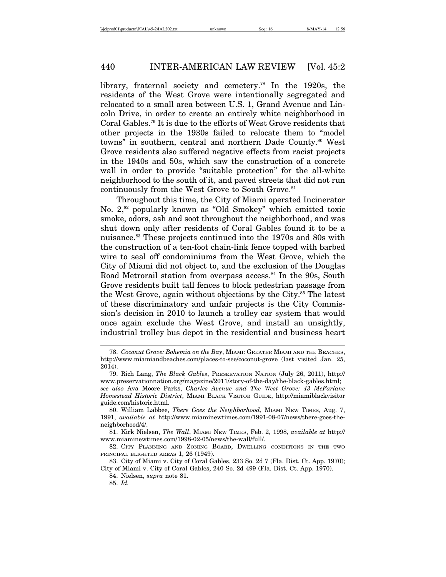library, fraternal society and cemetery.<sup>78</sup> In the 1920s, the residents of the West Grove were intentionally segregated and relocated to a small area between U.S. 1, Grand Avenue and Lincoln Drive, in order to create an entirely white neighborhood in Coral Gables.79 It is due to the efforts of West Grove residents that other projects in the 1930s failed to relocate them to "model towns" in southern, central and northern Dade County.<sup>80</sup> West Grove residents also suffered negative effects from racist projects in the 1940s and 50s, which saw the construction of a concrete wall in order to provide "suitable protection" for the all-white neighborhood to the south of it, and paved streets that did not run continuously from the West Grove to South Grove.<sup>81</sup>

Throughout this time, the City of Miami operated Incinerator No. 2,<sup>82</sup> popularly known as "Old Smokey" which emitted toxic smoke, odors, ash and soot throughout the neighborhood, and was shut down only after residents of Coral Gables found it to be a nuisance.<sup>83</sup> These projects continued into the 1970s and 80s with the construction of a ten-foot chain-link fence topped with barbed wire to seal off condominiums from the West Grove, which the City of Miami did not object to, and the exclusion of the Douglas Road Metrorail station from overpass access.<sup>84</sup> In the 90s, South Grove residents built tall fences to block pedestrian passage from the West Grove, again without objections by the City.<sup>85</sup> The latest of these discriminatory and unfair projects is the City Commission's decision in 2010 to launch a trolley car system that would once again exclude the West Grove, and install an unsightly, industrial trolley bus depot in the residential and business heart

81. Kirk Nielsen, *The Wall*, MIAMI NEW TIMES, Feb. 2, 1998, *available at* http:// www.miaminewtimes.com/1998-02-05/news/the-wall/full/.

82. CITY PLANNING AND ZONING BOARD, DWELLING CONDITIONS IN THE TWO PRINCIPAL BLIGHTED AREAS 1, 26 (1949).

83. City of Miami v. City of Coral Gables, 233 So. 2d 7 (Fla. Dist. Ct. App. 1970); City of Miami v. City of Coral Gables, 240 So. 2d 499 (Fla. Dist. Ct. App. 1970).

84. Nielsen, *supra* note 81.

85. *Id.*

<sup>78.</sup> *Coconut Grove: Bohemia on the Bay*, MIAMI: GREATER MIAMI AND THE BEACHES, http://www.miamiandbeaches.com/places-to-see/coconut-grove (last visited Jan. 25, 2014).

<sup>79.</sup> Rich Lang, *The Black Gables*, PRESERVATION NATION (July 26, 2011), http:// www.preservationnation.org/magazine/2011/story-of-the-day/the-black-gables.html; *see also* Ava Moore Parks, *Charles Avenue and The West Grove: 43 McFarlane Homestead Historic District*, MIAMI BLACK VISITOR GUIDE, http://miamiblackvisitor guide.com/historic.html.

<sup>80.</sup> William Labbee, *There Goes the Neighborhood*, MIAMI NEW TIMES, Aug. 7, 1991, *available at* http://www.miaminewtimes.com/1991-08-07/news/there-goes-theneighborhood/4/.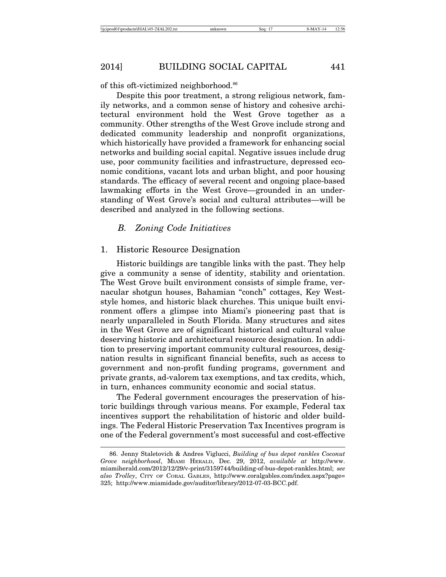of this oft-victimized neighborhood.<sup>86</sup>

Despite this poor treatment, a strong religious network, family networks, and a common sense of history and cohesive architectural environment hold the West Grove together as a community. Other strengths of the West Grove include strong and dedicated community leadership and nonprofit organizations, which historically have provided a framework for enhancing social networks and building social capital. Negative issues include drug use, poor community facilities and infrastructure, depressed economic conditions, vacant lots and urban blight, and poor housing standards. The efficacy of several recent and ongoing place-based lawmaking efforts in the West Grove—grounded in an understanding of West Grove's social and cultural attributes—will be described and analyzed in the following sections.

#### *B. Zoning Code Initiatives*

#### 1. Historic Resource Designation

Historic buildings are tangible links with the past. They help give a community a sense of identity, stability and orientation. The West Grove built environment consists of simple frame, vernacular shotgun houses, Bahamian "conch" cottages, Key Weststyle homes, and historic black churches. This unique built environment offers a glimpse into Miami's pioneering past that is nearly unparalleled in South Florida. Many structures and sites in the West Grove are of significant historical and cultural value deserving historic and architectural resource designation. In addition to preserving important community cultural resources, designation results in significant financial benefits, such as access to government and non-profit funding programs, government and private grants, ad-valorem tax exemptions, and tax credits, which, in turn, enhances community economic and social status.

The Federal government encourages the preservation of historic buildings through various means. For example, Federal tax incentives support the rehabilitation of historic and older buildings. The Federal Historic Preservation Tax Incentives program is one of the Federal government's most successful and cost-effective

<sup>86.</sup> Jenny Staletovich & Andres Viglucci, *Building of bus depot rankles Coconut Grove neighborhood*, MIAMI HERALD, Dec. 29, 2012, *available at* http://www. miamiherald.com/2012/12/29/v-print/3159744/building-of-bus-depot-rankles.html; *see also Trolley*, CITY OF CORAL GABLES, http://www.coralgables.com/index.aspx?page= 325; http://www.miamidade.gov/auditor/library/2012-07-03-BCC.pdf.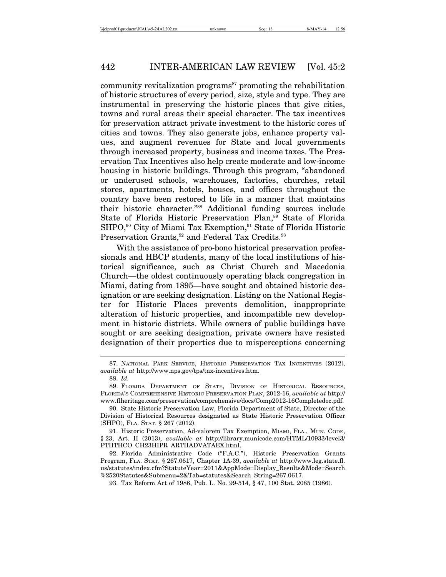community revitalization programs<sup>87</sup> promoting the rehabilitation of historic structures of every period, size, style and type. They are instrumental in preserving the historic places that give cities, towns and rural areas their special character. The tax incentives for preservation attract private investment to the historic cores of cities and towns. They also generate jobs, enhance property values, and augment revenues for State and local governments through increased property, business and income taxes. The Preservation Tax Incentives also help create moderate and low-income housing in historic buildings. Through this program, "abandoned or underused schools, warehouses, factories, churches, retail stores, apartments, hotels, houses, and offices throughout the country have been restored to life in a manner that maintains their historic character."88 Additional funding sources include State of Florida Historic Preservation Plan,<sup>89</sup> State of Florida SHPO,<sup>90</sup> City of Miami Tax Exemption,<sup>91</sup> State of Florida Historic Preservation Grants,<sup>92</sup> and Federal Tax Credits.<sup>93</sup>

With the assistance of pro-bono historical preservation professionals and HBCP students, many of the local institutions of historical significance, such as Christ Church and Macedonia Church—the oldest continuously operating black congregation in Miami, dating from 1895—have sought and obtained historic designation or are seeking designation. Listing on the National Register for Historic Places prevents demolition, inappropriate alteration of historic properties, and incompatible new development in historic districts. While owners of public buildings have sought or are seeking designation, private owners have resisted designation of their properties due to misperceptions concerning

92. Florida Administrative Code ("F.A.C."), Historic Preservation Grants Program, FLA. STAT. § 267.0617, Chapter 1A-39, *available at* http://www.leg.state.fl. us/statutes/index.cfm?StatuteYear=2011&AppMode=Display\_Results&Mode=Search %2520Statutes&Submenu=2&Tab=statutes&Search\_String=267.0617.

93. Tax Reform Act of 1986, Pub. L. No. 99-514, § 47, 100 Stat. 2085 (1986).

<sup>87.</sup> NATIONAL PARK SERVICE, HISTORIC PRESERVATION TAX INCENTIVES (2012), *available at* http://www.nps.gov/tps/tax-incentives.htm.

<sup>88.</sup> *Id.*

<sup>89.</sup> FLORIDA DEPARTMENT OF STATE, DIVISION OF HISTORICAL RESOURCES, FLORIDA'S COMPREHENSIVE HISTORIC PRESERVATION PLAN, 2012-16, *available at* http:// www.flheritage.com/preservation/comprehensive/docs/Comp2012-16Completedoc.pdf.

<sup>90.</sup> State Historic Preservation Law, Florida Department of State, Director of the Division of Historical Resources designated as State Historic Preservation Officer (SHPO), FLA. STAT. § 267 (2012).

<sup>91.</sup> Historic Preservation, Ad-valorem Tax Exemption, MIAMI, FLA., MUN. CODE, § 23, Art. II (2013), *available at* http://library.municode.com/HTML/10933/level3/ PTIITHCO\_CH23HIPR\_ARTIIADVATAEX.html.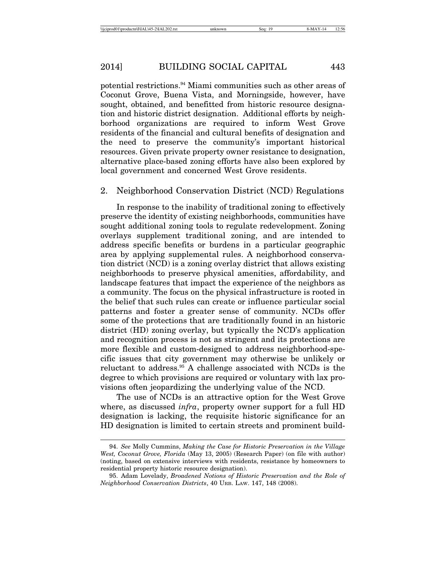potential restrictions.94 Miami communities such as other areas of Coconut Grove, Buena Vista, and Morningside, however, have sought, obtained, and benefitted from historic resource designation and historic district designation. Additional efforts by neighborhood organizations are required to inform West Grove residents of the financial and cultural benefits of designation and the need to preserve the community's important historical resources. Given private property owner resistance to designation, alternative place-based zoning efforts have also been explored by local government and concerned West Grove residents.

#### 2. Neighborhood Conservation District (NCD) Regulations

In response to the inability of traditional zoning to effectively preserve the identity of existing neighborhoods, communities have sought additional zoning tools to regulate redevelopment. Zoning overlays supplement traditional zoning, and are intended to address specific benefits or burdens in a particular geographic area by applying supplemental rules. A neighborhood conservation district (NCD) is a zoning overlay district that allows existing neighborhoods to preserve physical amenities, affordability, and landscape features that impact the experience of the neighbors as a community. The focus on the physical infrastructure is rooted in the belief that such rules can create or influence particular social patterns and foster a greater sense of community. NCDs offer some of the protections that are traditionally found in an historic district (HD) zoning overlay, but typically the NCD's application and recognition process is not as stringent and its protections are more flexible and custom-designed to address neighborhood-specific issues that city government may otherwise be unlikely or reluctant to address.95 A challenge associated with NCDs is the degree to which provisions are required or voluntary with lax provisions often jeopardizing the underlying value of the NCD.

The use of NCDs is an attractive option for the West Grove where, as discussed *infra*, property owner support for a full HD designation is lacking, the requisite historic significance for an HD designation is limited to certain streets and prominent build-

<sup>94.</sup> *See* Molly Cummins, *Making the Case for Historic Preservation in the Village West, Coconut Grove, Florida* (May 13, 2005) (Research Paper) (on file with author) (noting, based on extensive interviews with residents, resistance by homeowners to residential property historic resource designation).

<sup>95.</sup> Adam Lovelady, *Broadened Notions of Historic Preservation and the Role of Neighborhood Conservation Districts*, 40 URB. LAW. 147, 148 (2008).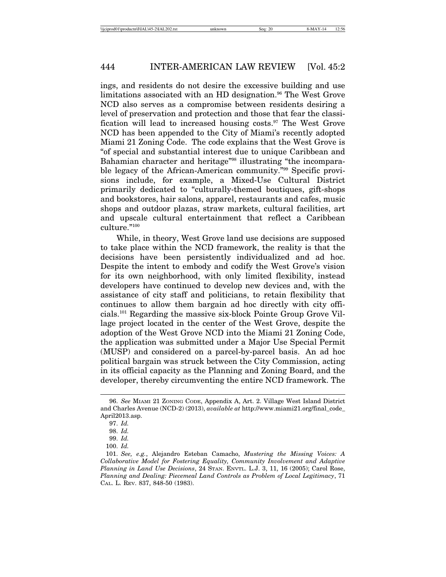ings, and residents do not desire the excessive building and use limitations associated with an HD designation.<sup>96</sup> The West Grove NCD also serves as a compromise between residents desiring a level of preservation and protection and those that fear the classification will lead to increased housing costs.<sup>97</sup> The West Grove NCD has been appended to the City of Miami's recently adopted Miami 21 Zoning Code. The code explains that the West Grove is "of special and substantial interest due to unique Caribbean and Bahamian character and heritage"98 illustrating "the incomparable legacy of the African-American community."99 Specific provisions include, for example, a Mixed-Use Cultural District primarily dedicated to "culturally-themed boutiques, gift-shops and bookstores, hair salons, apparel, restaurants and cafes, music shops and outdoor plazas, straw markets, cultural facilities, art and upscale cultural entertainment that reflect a Caribbean culture."100

While, in theory, West Grove land use decisions are supposed to take place within the NCD framework, the reality is that the decisions have been persistently individualized and ad hoc. Despite the intent to embody and codify the West Grove's vision for its own neighborhood, with only limited flexibility, instead developers have continued to develop new devices and, with the assistance of city staff and politicians, to retain flexibility that continues to allow them bargain ad hoc directly with city officials.101 Regarding the massive six-block Pointe Group Grove Village project located in the center of the West Grove, despite the adoption of the West Grove NCD into the Miami 21 Zoning Code, the application was submitted under a Major Use Special Permit (MUSP) and considered on a parcel-by-parcel basis. An ad hoc political bargain was struck between the City Commission, acting in its official capacity as the Planning and Zoning Board, and the developer, thereby circumventing the entire NCD framework. The

<sup>96.</sup> *See* MIAMI 21 ZONING CODE, Appendix A, Art. 2. Village West Island District and Charles Avenue (NCD-2) (2013), *available at* http://www.miami21.org/final\_code\_ April2013.asp.

<sup>97.</sup> *Id.*

<sup>98.</sup> *Id.*

<sup>99.</sup> *Id.*

<sup>100.</sup> *Id.*

<sup>101.</sup> *See, e.g.*, Alejandro Esteban Camacho, *Mustering the Missing Voices: A Collaborative Model for Fostering Equality, Community Involvement and Adaptive Planning in Land Use Decisions*, 24 STAN. ENVTL. L.J. 3, 11, 16 (2005); Carol Rose, *Planning and Dealing: Piecemeal Land Controls as Problem of Local Legitimacy*, 71 CAL. L. REV. 837, 848-50 (1983).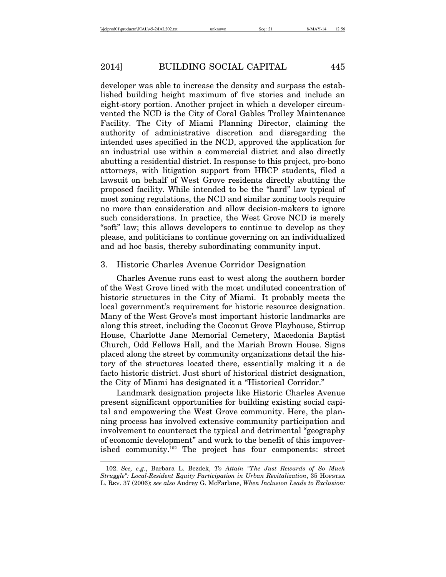developer was able to increase the density and surpass the established building height maximum of five stories and include an eight-story portion. Another project in which a developer circumvented the NCD is the City of Coral Gables Trolley Maintenance Facility. The City of Miami Planning Director, claiming the authority of administrative discretion and disregarding the intended uses specified in the NCD, approved the application for an industrial use within a commercial district and also directly abutting a residential district. In response to this project, pro-bono attorneys, with litigation support from HBCP students, filed a lawsuit on behalf of West Grove residents directly abutting the proposed facility. While intended to be the "hard" law typical of most zoning regulations, the NCD and similar zoning tools require no more than consideration and allow decision-makers to ignore such considerations. In practice, the West Grove NCD is merely "soft" law; this allows developers to continue to develop as they please, and politicians to continue governing on an individualized and ad hoc basis, thereby subordinating community input.

#### 3. Historic Charles Avenue Corridor Designation

Charles Avenue runs east to west along the southern border of the West Grove lined with the most undiluted concentration of historic structures in the City of Miami. It probably meets the local government's requirement for historic resource designation. Many of the West Grove's most important historic landmarks are along this street, including the Coconut Grove Playhouse, Stirrup House, Charlotte Jane Memorial Cemetery, Macedonia Baptist Church, Odd Fellows Hall, and the Mariah Brown House. Signs placed along the street by community organizations detail the history of the structures located there, essentially making it a de facto historic district. Just short of historical district designation, the City of Miami has designated it a "Historical Corridor."

Landmark designation projects like Historic Charles Avenue present significant opportunities for building existing social capital and empowering the West Grove community. Here, the planning process has involved extensive community participation and involvement to counteract the typical and detrimental "geography of economic development" and work to the benefit of this impoverished community.102 The project has four components: street

<sup>102.</sup> *See, e.g.*, Barbara L. Bezdek, *To Attain "The Just Rewards of So Much Struggle": Local-Resident Equity Participation in Urban Revitalization*, 35 HOFSTRA L. REV. 37 (2006); *see also* Audrey G. McFarlane, *When Inclusion Leads to Exclusion:*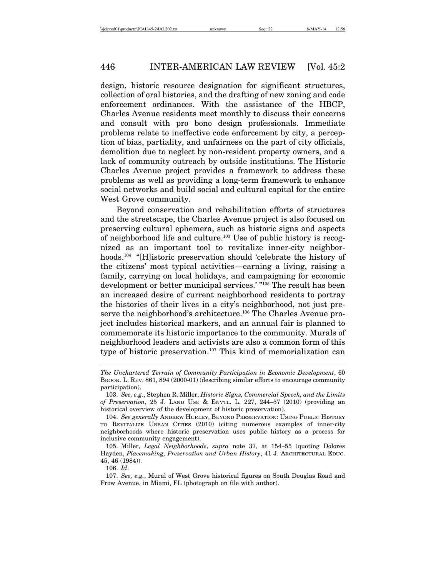design, historic resource designation for significant structures, collection of oral histories, and the drafting of new zoning and code enforcement ordinances. With the assistance of the HBCP, Charles Avenue residents meet monthly to discuss their concerns and consult with pro bono design professionals. Immediate problems relate to ineffective code enforcement by city, a perception of bias, partiality, and unfairness on the part of city officials, demolition due to neglect by non-resident property owners, and a lack of community outreach by outside institutions. The Historic Charles Avenue project provides a framework to address these problems as well as providing a long-term framework to enhance social networks and build social and cultural capital for the entire West Grove community.

Beyond conservation and rehabilitation efforts of structures and the streetscape, the Charles Avenue project is also focused on preserving cultural ephemera, such as historic signs and aspects of neighborhood life and culture.103 Use of public history is recognized as an important tool to revitalize inner-city neighborhoods.<sup>104</sup> "[H]istoric preservation should 'celebrate the history of the citizens' most typical activities—earning a living, raising a family, carrying on local holidays, and campaigning for economic development or better municipal services.' "105 The result has been an increased desire of current neighborhood residents to portray the histories of their lives in a city's neighborhood, not just preserve the neighborhood's architecture.<sup>106</sup> The Charles Avenue project includes historical markers, and an annual fair is planned to commemorate its historic importance to the community. Murals of neighborhood leaders and activists are also a common form of this type of historic preservation.<sup>107</sup> This kind of memorialization can

106. *Id*.

*The Unchartered Terrain of Community Participation in Economic Development*, 60 BROOK. L. REV. 861, 894 (2000-01) (describing similar efforts to encourage community participation).

<sup>103.</sup> *See, e.g.*, Stephen R. Miller, *Historic Signs, Commercial Speech, and the Limits of Preservation*, 25 J. LAND USE & ENVTL. L. 227, 244–57 (2010) (providing an historical overview of the development of historic preservation).

<sup>104.</sup> *See generally* ANDREW HURLEY, BEYOND PRESERVATION: USING PUBLIC HISTORY TO REVITALIZE URBAN CITIES (2010) (citing numerous examples of inner-city neighborhoods where historic preservation uses public history as a process for inclusive community engagement).

<sup>105.</sup> Miller, *Legal Neighborhoods*, *supra* note 37, at 154–55 (quoting Dolores Hayden, *Placemaking, Preservation and Urban History*, 41 J. ARCHITECTURAL EDUC. 45, 46 (1984)).

<sup>107.</sup> *See, e.g.*, Mural of West Grove historical figures on South Douglas Road and Frow Avenue, in Miami, FL (photograph on file with author).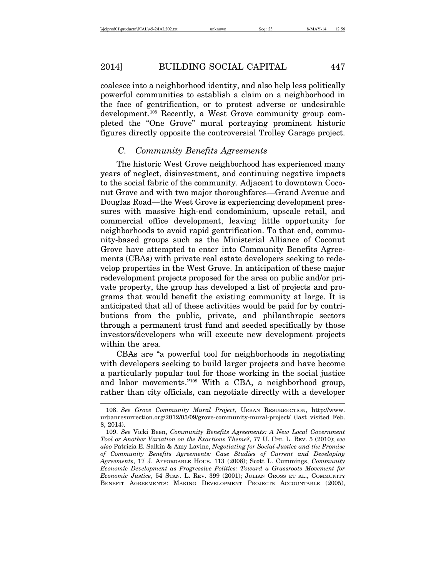coalesce into a neighborhood identity, and also help less politically powerful communities to establish a claim on a neighborhood in the face of gentrification, or to protest adverse or undesirable development.108 Recently, a West Grove community group completed the "One Grove" mural portraying prominent historic figures directly opposite the controversial Trolley Garage project.

### *C. Community Benefits Agreements*

The historic West Grove neighborhood has experienced many years of neglect, disinvestment, and continuing negative impacts to the social fabric of the community. Adjacent to downtown Coconut Grove and with two major thoroughfares—Grand Avenue and Douglas Road—the West Grove is experiencing development pressures with massive high-end condominium, upscale retail, and commercial office development, leaving little opportunity for neighborhoods to avoid rapid gentrification. To that end, community-based groups such as the Ministerial Alliance of Coconut Grove have attempted to enter into Community Benefits Agreements (CBAs) with private real estate developers seeking to redevelop properties in the West Grove. In anticipation of these major redevelopment projects proposed for the area on public and/or private property, the group has developed a list of projects and programs that would benefit the existing community at large. It is anticipated that all of these activities would be paid for by contributions from the public, private, and philanthropic sectors through a permanent trust fund and seeded specifically by those investors/developers who will execute new development projects within the area.

CBAs are "a powerful tool for neighborhoods in negotiating with developers seeking to build larger projects and have become a particularly popular tool for those working in the social justice and labor movements."109 With a CBA, a neighborhood group, rather than city officials, can negotiate directly with a developer

<sup>108.</sup> *See Grove Community Mural Project*, URBAN RESURRECTION, http://www. urbanresurrection.org/2012/05/09/grove-community-mural-project/ (last visited Feb. 8, 2014).

<sup>109.</sup> *See* Vicki Been, *Community Benefits Agreements: A New Local Government Tool or Another Variation on the Exactions Theme?*, 77 U. CHI. L. REV. 5 (2010); *see also* Patricia E. Salkin & Amy Lavine, *Negotiating for Social Justice and the Promise of Community Benefits Agreements: Case Studies of Current and Developing Agreements*, 17 J. AFFORDABLE HOUS. 113 (2008); Scott L. Cummings, *Community Economic Development as Progressive Politics: Toward a Grassroots Movement for Economic Justice*, 54 STAN. L. REV. 399 (2001); JULIAN GROSS ET AL., COMMUNITY BENEFIT AGREEMENTS: MAKING DEVELOPMENT PROJECTS ACCOUNTABLE (2005),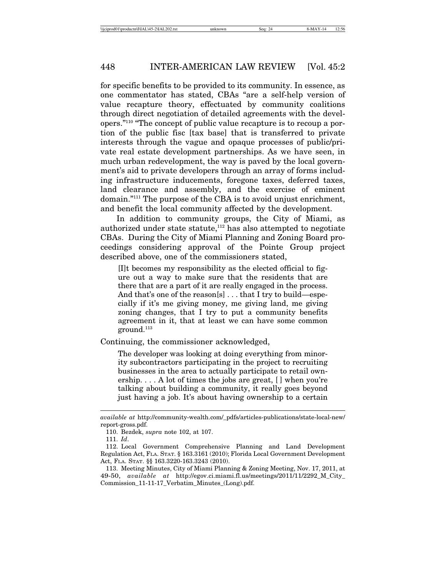for specific benefits to be provided to its community. In essence, as one commentator has stated, CBAs "are a self-help version of value recapture theory, effectuated by community coalitions through direct negotiation of detailed agreements with the developers."110 "The concept of public value recapture is to recoup a portion of the public fisc [tax base] that is transferred to private interests through the vague and opaque processes of public/private real estate development partnerships. As we have seen, in much urban redevelopment, the way is paved by the local government's aid to private developers through an array of forms including infrastructure inducements, foregone taxes, deferred taxes, land clearance and assembly, and the exercise of eminent domain."111 The purpose of the CBA is to avoid unjust enrichment, and benefit the local community affected by the development.

In addition to community groups, the City of Miami, as authorized under state statute, $112$  has also attempted to negotiate CBAs. During the City of Miami Planning and Zoning Board proceedings considering approval of the Pointe Group project described above, one of the commissioners stated,

[I]t becomes my responsibility as the elected official to figure out a way to make sure that the residents that are there that are a part of it are really engaged in the process. And that's one of the reason[s] ... that I try to build—especially if it's me giving money, me giving land, me giving zoning changes, that I try to put a community benefits agreement in it, that at least we can have some common  $ground.<sup>113</sup>$ 

Continuing, the commissioner acknowledged,

The developer was looking at doing everything from minority subcontractors participating in the project to recruiting businesses in the area to actually participate to retail ownership. . . . A lot of times the jobs are great, [ ] when you're talking about building a community, it really goes beyond just having a job. It's about having ownership to a certain

*available at* http://community-wealth.com/\_pdfs/articles-publications/state-local-new/ report-gross.pdf.

<sup>110.</sup> Bezdek, *supra* note 102, at 107.

<sup>111.</sup> *Id*.

<sup>112.</sup> Local Government Comprehensive Planning and Land Development Regulation Act, FLA. STAT. § 163.3161 (2010); Florida Local Government Development Act, FLA. STAT. §§ 163.3220-163.3243 (2010).

<sup>113.</sup> Meeting Minutes, City of Miami Planning & Zoning Meeting, Nov. 17, 2011, at 49-50, *available at* http://egov.ci.miami.fl.us/meetings/2011/11/2292\_M\_City\_ Commission\_11-11-17\_Verbatim\_Minutes\_(Long).pdf.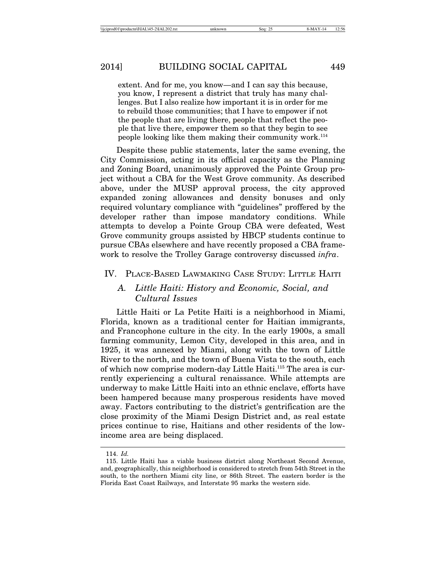extent. And for me, you know—and I can say this because, you know, I represent a district that truly has many challenges. But I also realize how important it is in order for me to rebuild those communities; that I have to empower if not the people that are living there, people that reflect the people that live there, empower them so that they begin to see people looking like them making their community work.<sup>114</sup>

Despite these public statements, later the same evening, the City Commission, acting in its official capacity as the Planning and Zoning Board, unanimously approved the Pointe Group project without a CBA for the West Grove community. As described above, under the MUSP approval process, the city approved expanded zoning allowances and density bonuses and only required voluntary compliance with "guidelines" proffered by the developer rather than impose mandatory conditions. While attempts to develop a Pointe Group CBA were defeated, West Grove community groups assisted by HBCP students continue to pursue CBAs elsewhere and have recently proposed a CBA framework to resolve the Trolley Garage controversy discussed *infra*.

#### IV. PLACE-BASED LAWMAKING CASE STUDY: LITTLE HAITI

### *A. Little Haiti: History and Economic, Social, and Cultural Issues*

Little Haiti or La Petite Haïti is a neighborhood in Miami, Florida, known as a traditional center for Haitian immigrants, and Francophone culture in the city. In the early 1900s, a small farming community, Lemon City, developed in this area, and in 1925, it was annexed by Miami, along with the town of Little River to the north, and the town of Buena Vista to the south, each of which now comprise modern-day Little Haiti.115 The area is currently experiencing a cultural renaissance. While attempts are underway to make Little Haiti into an ethnic enclave, efforts have been hampered because many prosperous residents have moved away. Factors contributing to the district's gentrification are the close proximity of the Miami Design District and, as real estate prices continue to rise, Haitians and other residents of the lowincome area are being displaced.

<sup>114.</sup> *Id.*

<sup>115.</sup> Little Haiti has a viable business district along Northeast Second Avenue, and, geographically, this neighborhood is considered to stretch from 54th Street in the south, to the northern Miami city line, or 86th Street. The eastern border is the Florida East Coast Railways, and Interstate 95 marks the western side.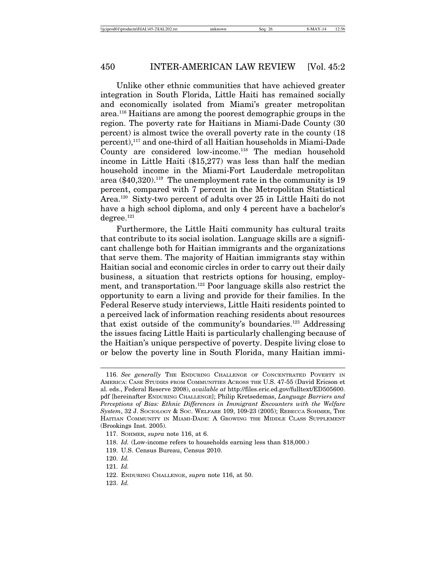Unlike other ethnic communities that have achieved greater integration in South Florida, Little Haiti has remained socially and economically isolated from Miami's greater metropolitan area.116 Haitians are among the poorest demographic groups in the region. The poverty rate for Haitians in Miami-Dade County (30 percent) is almost twice the overall poverty rate in the county (18 percent),117 and one-third of all Haitian households in Miami-Dade County are considered low-income.118 The median household income in Little Haiti (\$15,277) was less than half the median household income in the Miami-Fort Lauderdale metropolitan area  $(\$40,320)$ .<sup>119</sup> The unemployment rate in the community is 19 percent, compared with 7 percent in the Metropolitan Statistical Area.120 Sixty-two percent of adults over 25 in Little Haiti do not have a high school diploma, and only 4 percent have a bachelor's  $degree.<sup>121</sup>$ 

Furthermore, the Little Haiti community has cultural traits that contribute to its social isolation. Language skills are a significant challenge both for Haitian immigrants and the organizations that serve them. The majority of Haitian immigrants stay within Haitian social and economic circles in order to carry out their daily business, a situation that restricts options for housing, employment, and transportation.<sup>122</sup> Poor language skills also restrict the opportunity to earn a living and provide for their families. In the Federal Reserve study interviews, Little Haiti residents pointed to a perceived lack of information reaching residents about resources that exist outside of the community's boundaries.123 Addressing the issues facing Little Haiti is particularly challenging because of the Haitian's unique perspective of poverty. Despite living close to or below the poverty line in South Florida, many Haitian immi-

<sup>116.</sup> *See generally* THE ENDURING CHALLENGE OF CONCENTRATED POVERTY IN AMERICA: CASE STUDIES FROM COMMUNITIES ACROSS THE U.S. 47-55 (David Ericson et al. eds., Federal Reserve 2008), *available at* http://files.eric.ed.gov/fulltext/ED505600. pdf [hereinafter ENDURING CHALLENGE]; Philip Kretsedemas, *Language Barriers and Perceptions of Bias: Ethnic Differences in Immigrant Encounters with the Welfare System*, 32 J. SOCIOLOGY & SOC. WELFARE 109, 109-23 (2005); REBECCA SOHMER, THE HAITIAN COMMUNITY IN MIAMI-DADE: A GROWING THE MIDDLE CLASS SUPPLEMENT (Brookings Inst. 2005).

<sup>117.</sup> SOHMER, *supra* note 116, at 6.

<sup>118.</sup> *Id.* (Low-income refers to households earning less than \$18,000.)

<sup>119.</sup> U.S. Census Bureau, Census 2010.

<sup>120.</sup> *Id.*

<sup>121.</sup> *Id.*

<sup>122.</sup> ENDURING CHALLENGE, *supra* note 116, at 50.

<sup>123.</sup> *Id.*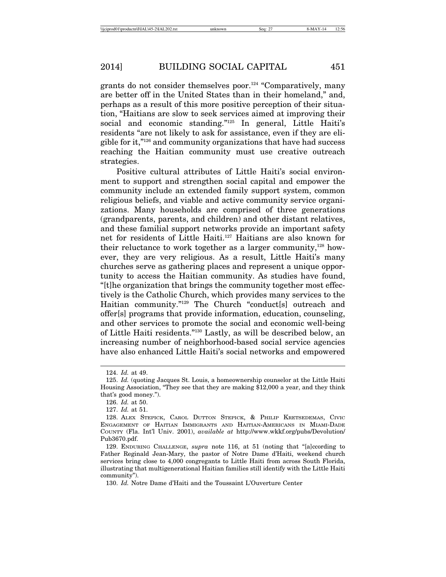grants do not consider themselves poor.124 "Comparatively, many are better off in the United States than in their homeland," and, perhaps as a result of this more positive perception of their situation, "Haitians are slow to seek services aimed at improving their social and economic standing."125 In general, Little Haiti's residents "are not likely to ask for assistance, even if they are eligible for it,"126 and community organizations that have had success reaching the Haitian community must use creative outreach strategies.

Positive cultural attributes of Little Haiti's social environment to support and strengthen social capital and empower the community include an extended family support system, common religious beliefs, and viable and active community service organizations. Many households are comprised of three generations (grandparents, parents, and children) and other distant relatives, and these familial support networks provide an important safety net for residents of Little Haiti.127 Haitians are also known for their reluctance to work together as a larger community, $128$  however, they are very religious. As a result, Little Haiti's many churches serve as gathering places and represent a unique opportunity to access the Haitian community. As studies have found, "[t]he organization that brings the community together most effectively is the Catholic Church, which provides many services to the Haitian community."129 The Church "conduct[s] outreach and offer[s] programs that provide information, education, counseling, and other services to promote the social and economic well-being of Little Haiti residents."130 Lastly, as will be described below, an increasing number of neighborhood-based social service agencies have also enhanced Little Haiti's social networks and empowered

<sup>124.</sup> *Id.* at 49.

<sup>125.</sup> *Id.* (quoting Jacques St. Louis, a homeownership counselor at the Little Haiti Housing Association, "They see that they are making \$12,000 a year, and they think that's good money.").

<sup>126.</sup> *Id.* at 50.

<sup>127.</sup> *Id.* at 51.

<sup>128.</sup> ALEX STEPICK, CAROL DUTTON STEPICK, & PHILIP KRETSEDEMAS, CIVIC ENGAGEMENT OF HAITIAN IMMIGRANTS AND HAITIAN-AMERICANS IN MIAMI-DADE COUNTY (Fla. Int'l Univ. 2001), *available at* http://www.wkkf.org/pubs/Devolution/ Pub3670.pdf.

<sup>129.</sup> ENDURING CHALLENGE, *supra* note 116, at 51 (noting that "[a]ccording to Father Reginald Jean-Mary, the pastor of Notre Dame d'Haiti, weekend church services bring close to 4,000 congregants to Little Haiti from across South Florida, illustrating that multigenerational Haitian families still identify with the Little Haiti community").

<sup>130.</sup> *Id.* Notre Dame d'Haiti and the Toussaint L'Ouverture Center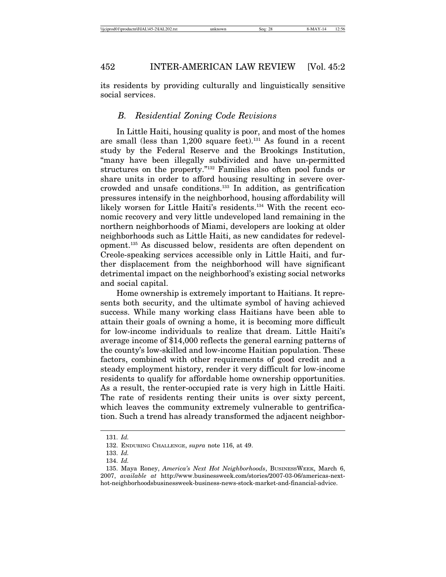its residents by providing culturally and linguistically sensitive social services.

### *B. Residential Zoning Code Revisions*

In Little Haiti, housing quality is poor, and most of the homes are small (less than  $1,200$  square feet).<sup>131</sup> As found in a recent study by the Federal Reserve and the Brookings Institution, "many have been illegally subdivided and have un-permitted structures on the property."132 Families also often pool funds or share units in order to afford housing resulting in severe overcrowded and unsafe conditions.133 In addition, as gentrification pressures intensify in the neighborhood, housing affordability will likely worsen for Little Haiti's residents.134 With the recent economic recovery and very little undeveloped land remaining in the northern neighborhoods of Miami, developers are looking at older neighborhoods such as Little Haiti, as new candidates for redevelopment.135 As discussed below, residents are often dependent on Creole-speaking services accessible only in Little Haiti, and further displacement from the neighborhood will have significant detrimental impact on the neighborhood's existing social networks and social capital.

Home ownership is extremely important to Haitians. It represents both security, and the ultimate symbol of having achieved success. While many working class Haitians have been able to attain their goals of owning a home, it is becoming more difficult for low-income individuals to realize that dream. Little Haiti's average income of \$14,000 reflects the general earning patterns of the county's low-skilled and low-income Haitian population. These factors, combined with other requirements of good credit and a steady employment history, render it very difficult for low-income residents to qualify for affordable home ownership opportunities. As a result, the renter-occupied rate is very high in Little Haiti. The rate of residents renting their units is over sixty percent, which leaves the community extremely vulnerable to gentrification. Such a trend has already transformed the adjacent neighbor-

<sup>131.</sup> *Id.*

<sup>132.</sup> ENDURING CHALLENGE, *supra* note 116, at 49.

<sup>133.</sup> *Id.*

<sup>134.</sup> *Id.*

<sup>135.</sup> Maya Roney, *America's Next Hot Neighborhoods*, BUSINESSWEEK, March 6, 2007, *available at* http://www.businessweek.com/stories/2007-03-06/americas-nexthot-neighborhoodsbusinessweek-business-news-stock-market-and-financial-advice.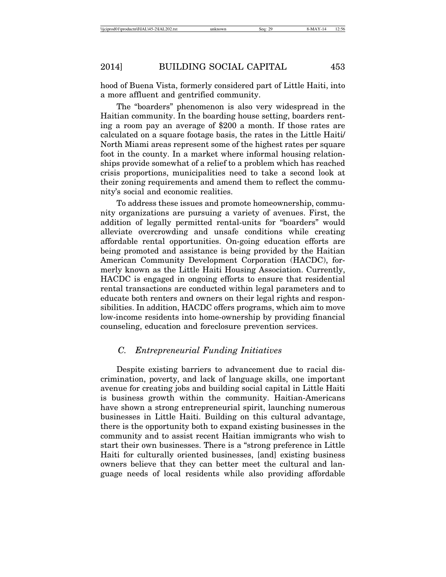hood of Buena Vista, formerly considered part of Little Haiti, into a more affluent and gentrified community.

The "boarders" phenomenon is also very widespread in the Haitian community. In the boarding house setting, boarders renting a room pay an average of \$200 a month. If those rates are calculated on a square footage basis, the rates in the Little Haiti/ North Miami areas represent some of the highest rates per square foot in the county. In a market where informal housing relationships provide somewhat of a relief to a problem which has reached crisis proportions, municipalities need to take a second look at their zoning requirements and amend them to reflect the community's social and economic realities.

To address these issues and promote homeownership, community organizations are pursuing a variety of avenues. First, the addition of legally permitted rental-units for "boarders" would alleviate overcrowding and unsafe conditions while creating affordable rental opportunities. On-going education efforts are being promoted and assistance is being provided by the Haitian American Community Development Corporation (HACDC), formerly known as the Little Haiti Housing Association. Currently, HACDC is engaged in ongoing efforts to ensure that residential rental transactions are conducted within legal parameters and to educate both renters and owners on their legal rights and responsibilities. In addition, HACDC offers programs, which aim to move low-income residents into home-ownership by providing financial counseling, education and foreclosure prevention services.

### *C. Entrepreneurial Funding Initiatives*

Despite existing barriers to advancement due to racial discrimination, poverty, and lack of language skills, one important avenue for creating jobs and building social capital in Little Haiti is business growth within the community. Haitian-Americans have shown a strong entrepreneurial spirit, launching numerous businesses in Little Haiti. Building on this cultural advantage, there is the opportunity both to expand existing businesses in the community and to assist recent Haitian immigrants who wish to start their own businesses. There is a "strong preference in Little Haiti for culturally oriented businesses, [and] existing business owners believe that they can better meet the cultural and language needs of local residents while also providing affordable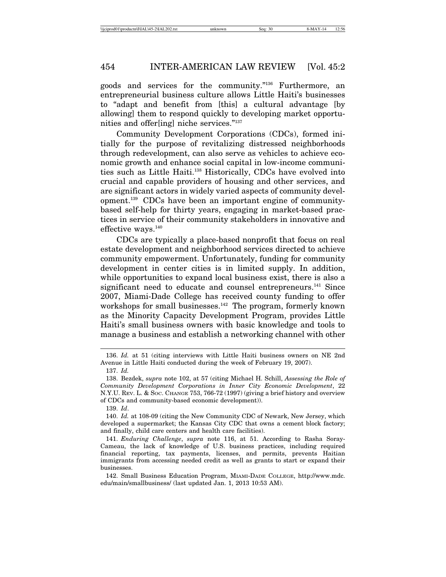goods and services for the community."136 Furthermore, an entrepreneurial business culture allows Little Haiti's businesses to "adapt and benefit from [this] a cultural advantage [by allowing] them to respond quickly to developing market opportunities and offer[ing] niche services."137

Community Development Corporations (CDCs), formed initially for the purpose of revitalizing distressed neighborhoods through redevelopment, can also serve as vehicles to achieve economic growth and enhance social capital in low-income communities such as Little Haiti.138 Historically, CDCs have evolved into crucial and capable providers of housing and other services, and are significant actors in widely varied aspects of community development.139 CDCs have been an important engine of communitybased self-help for thirty years, engaging in market-based practices in service of their community stakeholders in innovative and effective ways.<sup>140</sup>

CDCs are typically a place-based nonprofit that focus on real estate development and neighborhood services directed to achieve community empowerment. Unfortunately, funding for community development in center cities is in limited supply. In addition, while opportunities to expand local business exist, there is also a significant need to educate and counsel entrepreneurs.<sup>141</sup> Since 2007, Miami-Dade College has received county funding to offer workshops for small businesses.<sup>142</sup> The program, formerly known as the Minority Capacity Development Program, provides Little Haiti's small business owners with basic knowledge and tools to manage a business and establish a networking channel with other

<sup>136.</sup> *Id.* at 51 (citing interviews with Little Haiti business owners on NE 2nd Avenue in Little Haiti conducted during the week of February 19, 2007). 137. *Id.*

<sup>138.</sup> Bezdek, *supra* note 102, at 57 (citing Michael H. Schill, *Assessing the Role of Community Development Corporations in Inner City Economic Development*, 22 N.Y.U. REV. L. & SOC. CHANGE 753, 766-72 (1997) (giving a brief history and overview of CDCs and community-based economic development)).

<sup>139.</sup> *Id*.

<sup>140.</sup> *Id.* at 108-09 (citing the New Community CDC of Newark, New Jersey, which developed a supermarket; the Kansas City CDC that owns a cement block factory; and finally, child care centers and health care facilities).

<sup>141.</sup> *Enduring Challenge*, *supra* note 116, at 51. According to Rasha Soray-Cameau, the lack of knowledge of U.S. business practices, including required financial reporting, tax payments, licenses, and permits, prevents Haitian immigrants from accessing needed credit as well as grants to start or expand their businesses.

<sup>142.</sup> Small Business Education Program, MIAMI-DADE COLLEGE, http://www.mdc. edu/main/smallbusiness/ (last updated Jan. 1, 2013 10:53 AM).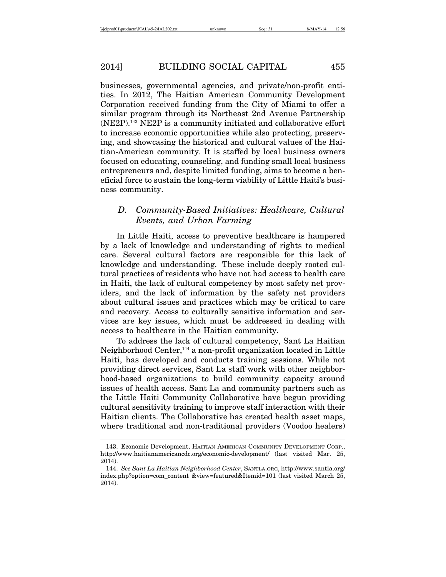businesses, governmental agencies, and private/non-profit entities. In 2012, The Haitian American Community Development Corporation received funding from the City of Miami to offer a similar program through its Northeast 2nd Avenue Partnership (NE2P).143 NE2P is a community initiated and collaborative effort to increase economic opportunities while also protecting, preserving, and showcasing the historical and cultural values of the Haitian-American community. It is staffed by local business owners focused on educating, counseling, and funding small local business entrepreneurs and, despite limited funding, aims to become a beneficial force to sustain the long-term viability of Little Haiti's business community.

# *D. Community-Based Initiatives: Healthcare, Cultural Events, and Urban Farming*

In Little Haiti, access to preventive healthcare is hampered by a lack of knowledge and understanding of rights to medical care. Several cultural factors are responsible for this lack of knowledge and understanding. These include deeply rooted cultural practices of residents who have not had access to health care in Haiti, the lack of cultural competency by most safety net providers, and the lack of information by the safety net providers about cultural issues and practices which may be critical to care and recovery. Access to culturally sensitive information and services are key issues, which must be addressed in dealing with access to healthcare in the Haitian community.

To address the lack of cultural competency, Sant La Haitian Neighborhood Center,144 a non-profit organization located in Little Haiti, has developed and conducts training sessions. While not providing direct services, Sant La staff work with other neighborhood-based organizations to build community capacity around issues of health access. Sant La and community partners such as the Little Haiti Community Collaborative have begun providing cultural sensitivity training to improve staff interaction with their Haitian clients. The Collaborative has created health asset maps, where traditional and non-traditional providers (Voodoo healers)

<sup>143.</sup> Economic Development, HAITIAN AMERICAN COMMUNITY DEVELOPMENT CORP., http://www.haitianamericancdc.org/economic-development/ (last visited Mar. 25, 2014).

<sup>144.</sup> *See Sant La Haitian Neighborhood Center*, SANTLA.ORG, http://www.santla.org/ index.php?option=com\_content &view=featured&Itemid=101 (last visited March 25, 2014).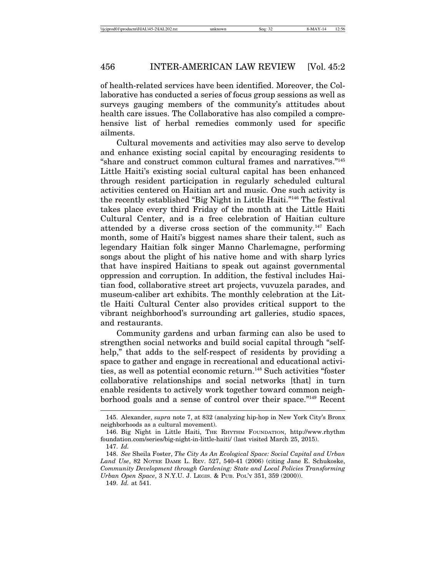of health-related services have been identified. Moreover, the Collaborative has conducted a series of focus group sessions as well as surveys gauging members of the community's attitudes about health care issues. The Collaborative has also compiled a comprehensive list of herbal remedies commonly used for specific ailments.

Cultural movements and activities may also serve to develop and enhance existing social capital by encouraging residents to "share and construct common cultural frames and narratives."145 Little Haiti's existing social cultural capital has been enhanced through resident participation in regularly scheduled cultural activities centered on Haitian art and music. One such activity is the recently established "Big Night in Little Haiti."146 The festival takes place every third Friday of the month at the Little Haiti Cultural Center, and is a free celebration of Haitian culture attended by a diverse cross section of the community.147 Each month, some of Haiti's biggest names share their talent, such as legendary Haitian folk singer Manno Charlemagne, performing songs about the plight of his native home and with sharp lyrics that have inspired Haitians to speak out against governmental oppression and corruption. In addition, the festival includes Haitian food, collaborative street art projects, vuvuzela parades, and museum-caliber art exhibits. The monthly celebration at the Little Haiti Cultural Center also provides critical support to the vibrant neighborhood's surrounding art galleries, studio spaces, and restaurants.

Community gardens and urban farming can also be used to strengthen social networks and build social capital through "selfhelp," that adds to the self-respect of residents by providing a space to gather and engage in recreational and educational activities, as well as potential economic return.<sup>148</sup> Such activities "foster collaborative relationships and social networks [that] in turn enable residents to actively work together toward common neighborhood goals and a sense of control over their space."149 Recent

<sup>145.</sup> Alexander, *supra* note 7, at 832 (analyzing hip-hop in New York City's Bronx neighborhoods as a cultural movement).

<sup>146.</sup> Big Night in Little Haiti, THE RHYTHM FOUNDATION, http://www.rhythm foundation.com/series/big-night-in-little-haiti/ (last visited March 25, 2015). 147. *Id.*

<sup>148.</sup> *See* Sheila Foster, *The City As An Ecological Space: Social Capital and Urban Land Use*, 82 NOTRE DAME L. REV. 527, 540-41 (2006) (citing Jane E. Schukoske, *Community Development through Gardening: State and Local Policies Transforming Urban Open Space*, 3 N.Y.U. J. LEGIS. & PUB. POL'Y 351, 359 (2000)).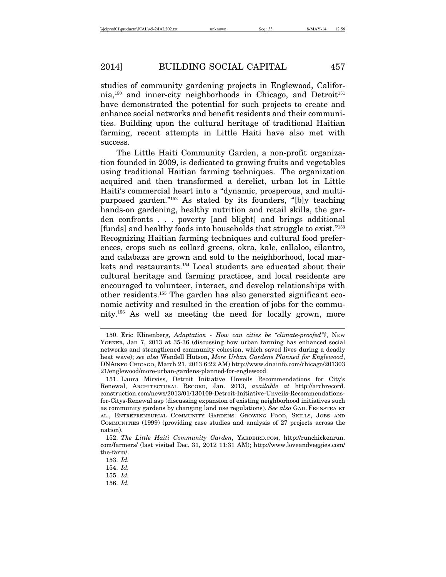studies of community gardening projects in Englewood, Califor $nia,150$  and inner-city neighborhoods in Chicago, and Detroit<sup>151</sup> have demonstrated the potential for such projects to create and enhance social networks and benefit residents and their communities. Building upon the cultural heritage of traditional Haitian farming, recent attempts in Little Haiti have also met with success.

The Little Haiti Community Garden, a non-profit organization founded in 2009, is dedicated to growing fruits and vegetables using traditional Haitian farming techniques. The organization acquired and then transformed a derelict, urban lot in Little Haiti's commercial heart into a "dynamic, prosperous, and multipurposed garden."152 As stated by its founders, "[b]y teaching hands-on gardening, healthy nutrition and retail skills, the garden confronts . . . poverty [and blight] and brings additional [funds] and healthy foods into households that struggle to exist."153 Recognizing Haitian farming techniques and cultural food preferences, crops such as collard greens, okra, kale, callaloo, cilantro, and calabaza are grown and sold to the neighborhood, local markets and restaurants.154 Local students are educated about their cultural heritage and farming practices, and local residents are encouraged to volunteer, interact, and develop relationships with other residents.155 The garden has also generated significant economic activity and resulted in the creation of jobs for the community.156 As well as meeting the need for locally grown, more

156. *Id.*

<sup>150.</sup> Eric Klinenberg, *Adaptation - How can cities be "climate-proofed"?*, NEW YORKER, Jan 7, 2013 at 35-36 (discussing how urban farming has enhanced social networks and strengthened community cohesion, which saved lives during a deadly heat wave); *see also* Wendell Hutson, *More Urban Gardens Planned for Englewood*, DNAINFO CHICAGO, March 21, 2013 6:22 AM) http://www.dnainfo.com/chicago/201303 21/englewood/more-urban-gardens-planned-for-englewood.

<sup>151.</sup> Laura Mirviss, Detroit Initiative Unveils Recommendations for City's Renewal, ARCHITECTURAL RECORD, Jan. 2013, *available at* http://archrecord. construction.com/news/2013/01/130109-Detroit-Initiative-Unveils-Recommendationsfor-Citys-Renewal.asp (discussing expansion of existing neighborhood initiatives such as community gardens by changing land use regulations). *See also* GAIL FEENSTRA ET AL., ENTREPRENEURIAL COMMUNITY GARDENS: GROWING FOOD, SKILLS, JOBS AND COMMUNITIES (1999) (providing case studies and analysis of 27 projects across the nation).

<sup>152.</sup> *The Little Haiti Community Garden*, YARDBIRD.COM, http://runchickenrun. com/farmers/ (last visited Dec. 31, 2012 11:31 AM); http://www.loveandveggies.com/ the-farm/.

<sup>153.</sup> *Id.*

<sup>154.</sup> *Id.*

<sup>155.</sup> *Id.*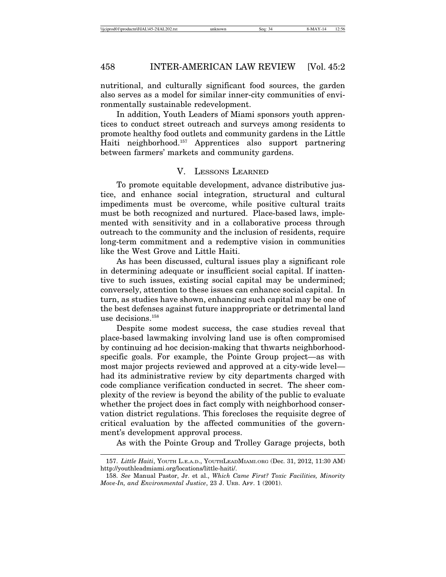nutritional, and culturally significant food sources, the garden also serves as a model for similar inner-city communities of environmentally sustainable redevelopment.

In addition, Youth Leaders of Miami sponsors youth apprentices to conduct street outreach and surveys among residents to promote healthy food outlets and community gardens in the Little Haiti neighborhood.157 Apprentices also support partnering between farmers' markets and community gardens.

#### V. LESSONS LEARNED

To promote equitable development, advance distributive justice, and enhance social integration, structural and cultural impediments must be overcome, while positive cultural traits must be both recognized and nurtured. Place-based laws, implemented with sensitivity and in a collaborative process through outreach to the community and the inclusion of residents, require long-term commitment and a redemptive vision in communities like the West Grove and Little Haiti.

As has been discussed, cultural issues play a significant role in determining adequate or insufficient social capital. If inattentive to such issues, existing social capital may be undermined; conversely, attention to these issues can enhance social capital. In turn, as studies have shown, enhancing such capital may be one of the best defenses against future inappropriate or detrimental land use decisions.158

Despite some modest success, the case studies reveal that place-based lawmaking involving land use is often compromised by continuing ad hoc decision-making that thwarts neighborhoodspecific goals. For example, the Pointe Group project—as with most major projects reviewed and approved at a city-wide level had its administrative review by city departments charged with code compliance verification conducted in secret. The sheer complexity of the review is beyond the ability of the public to evaluate whether the project does in fact comply with neighborhood conservation district regulations. This forecloses the requisite degree of critical evaluation by the affected communities of the government's development approval process.

As with the Pointe Group and Trolley Garage projects, both

<sup>157.</sup> *Little Haiti*, YOUTH L.E.A.D., YOUTHLEADMIAMI.ORG (Dec. 31, 2012, 11:30 AM) http://youthleadmiami.org/locations/little-haiti/.

<sup>158.</sup> *See* Manual Pastor, Jr. et al., *Which Came First? Toxic Facilities, Minority Move-In, and Environmental Justice*, 23 J. URB. AFF. 1 (2001).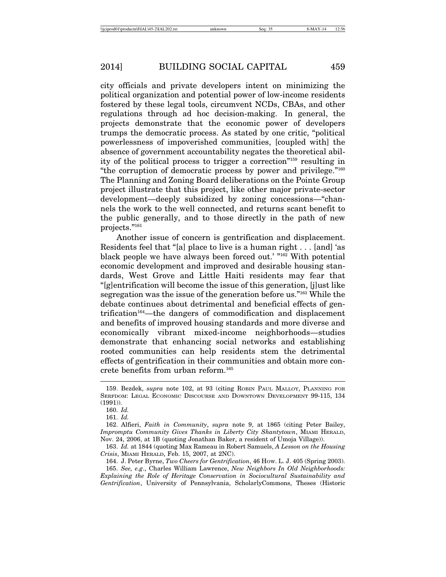city officials and private developers intent on minimizing the political organization and potential power of low-income residents fostered by these legal tools, circumvent NCDs, CBAs, and other regulations through ad hoc decision-making. In general, the projects demonstrate that the economic power of developers trumps the democratic process. As stated by one critic, "political powerlessness of impoverished communities, [coupled with] the absence of government accountability negates the theoretical ability of the political process to trigger a correction"159 resulting in "the corruption of democratic process by power and privilege."160 The Planning and Zoning Board deliberations on the Pointe Group project illustrate that this project, like other major private-sector development—deeply subsidized by zoning concessions—"channels the work to the well connected, and returns scant benefit to the public generally, and to those directly in the path of new projects."161

Another issue of concern is gentrification and displacement. Residents feel that "[a] place to live is a human right . . . [and] 'as black people we have always been forced out.' "162 With potential economic development and improved and desirable housing standards, West Grove and Little Haiti residents may fear that "[g]entrification will become the issue of this generation, [j]ust like segregation was the issue of the generation before us."163 While the debate continues about detrimental and beneficial effects of gentrification<sup>164</sup>—the dangers of commodification and displacement and benefits of improved housing standards and more diverse and economically vibrant mixed-income neighborhoods—studies demonstrate that enhancing social networks and establishing rooted communities can help residents stem the detrimental effects of gentrification in their communities and obtain more concrete benefits from urban reform.165

<sup>159.</sup> Bezdek, *supra* note 102, at 93 (citing ROBIN PAUL MALLOY, PLANNING FOR SERFDOM: LEGAL ECONOMIC DISCOURSE AND DOWNTOWN DEVELOPMENT 99-115, 134 (1991)).

<sup>160.</sup> *Id.*

<sup>161.</sup> *Id.*

<sup>162.</sup> Alfieri, *Faith in Community*, *supra* note 9, at 1865 (citing Peter Bailey, *Impromptu Community Gives Thanks in Liberty City Shantytown*, MIAMI HERALD, Nov. 24, 2006, at 1B (quoting Jonathan Baker, a resident of Umoja Village)).

<sup>163.</sup> *Id.* at 1844 (quoting Max Rameau in Robert Samuels, *A Lesson on the Housing Crisis*, MIAMI HERALD, Feb. 15, 2007, at 2NC).

<sup>164.</sup> J. Peter Byrne, *Two Cheers for Gentrification*, 46 HOW. L. J. 405 (Spring 2003).

<sup>165.</sup> *See, e.g*., Charles William Lawrence, *New Neighbors In Old Neighborhoods: Explaining the Role of Heritage Conservation in Sociocultural Sustainability and Gentrification*, University of Pennsylvania, ScholarlyCommons, Theses (Historic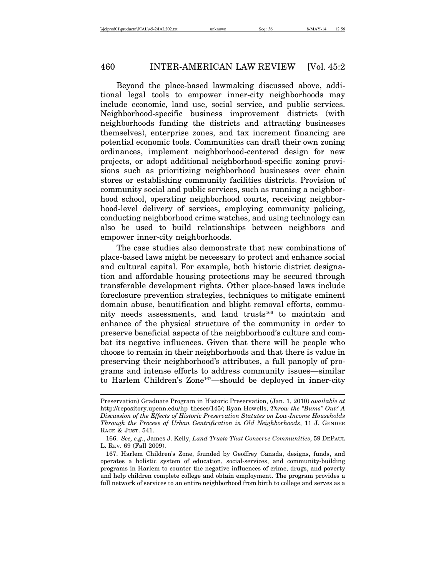Beyond the place-based lawmaking discussed above, additional legal tools to empower inner-city neighborhoods may include economic, land use, social service, and public services. Neighborhood-specific business improvement districts (with neighborhoods funding the districts and attracting businesses themselves), enterprise zones, and tax increment financing are potential economic tools. Communities can draft their own zoning ordinances, implement neighborhood-centered design for new projects, or adopt additional neighborhood-specific zoning provisions such as prioritizing neighborhood businesses over chain stores or establishing community facilities districts. Provision of community social and public services, such as running a neighborhood school, operating neighborhood courts, receiving neighborhood-level delivery of services, employing community policing, conducting neighborhood crime watches, and using technology can also be used to build relationships between neighbors and empower inner-city neighborhoods.

The case studies also demonstrate that new combinations of place-based laws might be necessary to protect and enhance social and cultural capital. For example, both historic district designation and affordable housing protections may be secured through transferable development rights. Other place-based laws include foreclosure prevention strategies, techniques to mitigate eminent domain abuse, beautification and blight removal efforts, community needs assessments, and land trusts<sup>166</sup> to maintain and enhance of the physical structure of the community in order to preserve beneficial aspects of the neighborhood's culture and combat its negative influences. Given that there will be people who choose to remain in their neighborhoods and that there is value in preserving their neighborhood's attributes, a full panoply of programs and intense efforts to address community issues—similar to Harlem Children's Zone<sup>167</sup>—should be deployed in inner-city

Preservation) Graduate Program in Historic Preservation, (Jan. 1, 2010) *available at* http://repository.upenn.edu/hp\_theses/145/; Ryan Howells, *Throw the "Bums" Out? A Discussion of the Effects of Historic Preservation Statutes on Low-Income Households Through the Process of Urban Gentrification in Old Neighborhoods*, 11 J. GENDER RACE & JUST. 541.

<sup>166.</sup> *See, e.g.*, James J. Kelly, *Land Trusts That Conserve Communities*, 59 DEPAUL L. REV. 69 (Fall 2009).

<sup>167.</sup> Harlem Children's Zone, founded by Geoffrey Canada, designs, funds, and operates a holistic system of education, social-services, and community-building programs in Harlem to counter the negative influences of crime, drugs, and poverty and help children complete college and obtain employment. The program provides a full network of services to an entire neighborhood from birth to college and serves as a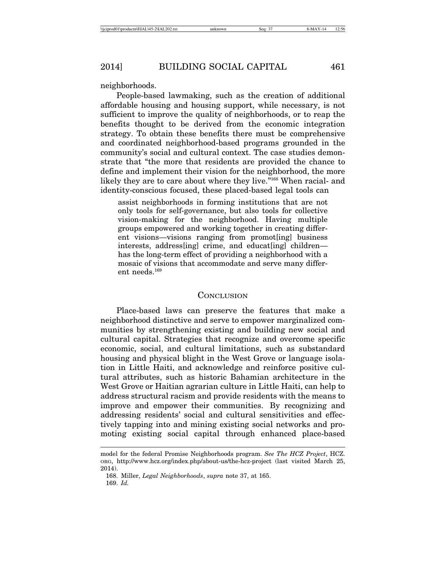neighborhoods.

People-based lawmaking, such as the creation of additional affordable housing and housing support, while necessary, is not sufficient to improve the quality of neighborhoods, or to reap the benefits thought to be derived from the economic integration strategy. To obtain these benefits there must be comprehensive and coordinated neighborhood-based programs grounded in the community's social and cultural context. The case studies demonstrate that "the more that residents are provided the chance to define and implement their vision for the neighborhood, the more likely they are to care about where they live."168 When racial- and identity-conscious focused, these placed-based legal tools can

assist neighborhoods in forming institutions that are not only tools for self-governance, but also tools for collective vision-making for the neighborhood. Having multiple groups empowered and working together in creating different visions—visions ranging from promot[ing] business interests, address[ing] crime, and educat[ing] children has the long-term effect of providing a neighborhood with a mosaic of visions that accommodate and serve many different needs.169

#### **CONCLUSION**

Place-based laws can preserve the features that make a neighborhood distinctive and serve to empower marginalized communities by strengthening existing and building new social and cultural capital. Strategies that recognize and overcome specific economic, social, and cultural limitations, such as substandard housing and physical blight in the West Grove or language isolation in Little Haiti, and acknowledge and reinforce positive cultural attributes, such as historic Bahamian architecture in the West Grove or Haitian agrarian culture in Little Haiti, can help to address structural racism and provide residents with the means to improve and empower their communities. By recognizing and addressing residents' social and cultural sensitivities and effectively tapping into and mining existing social networks and promoting existing social capital through enhanced place-based

model for the federal Promise Neighborhoods program. *See The HCZ Project*, HCZ. ORG, http://www.hcz.org/index.php/about-us/the-hcz-project (last visited March 25, 2014).

<sup>168.</sup> Miller, *Legal Neighborhoods*, *supra* note 37, at 165. 169. *Id.*